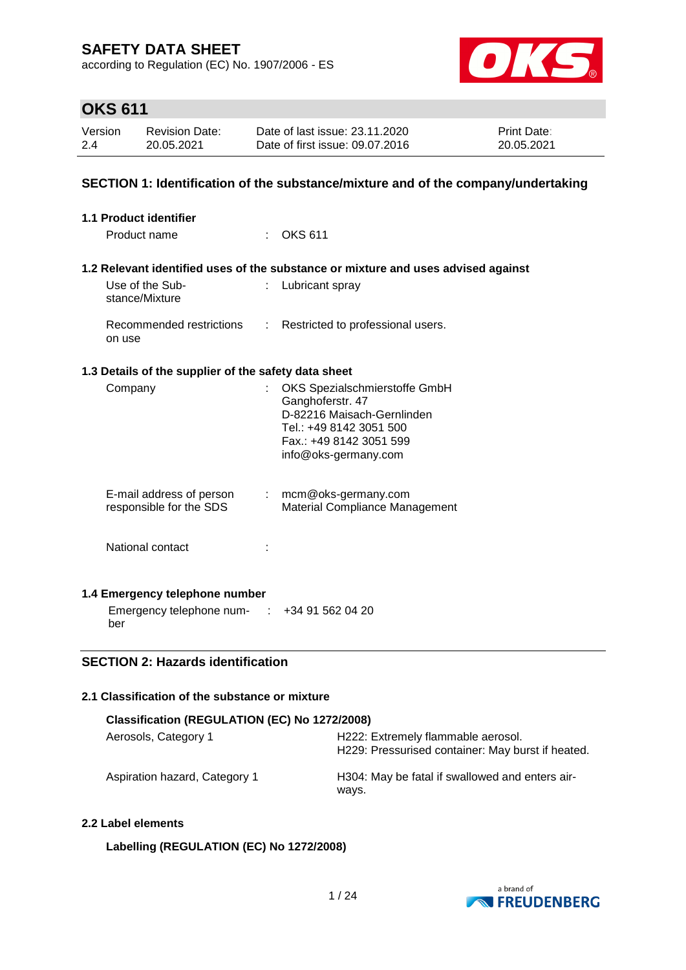according to Regulation (EC) No. 1907/2006 - ES



# **OKS 611**

| Version | <b>Revision Date:</b> | Date of last issue: 23.11.2020  | <b>Print Date:</b> |
|---------|-----------------------|---------------------------------|--------------------|
| 2.4     | 20.05.2021            | Date of first issue: 09.07.2016 | 20.05.2021         |

### **SECTION 1: Identification of the substance/mixture and of the company/undertaking**

| 1.1 Product identifier                                                               |    |                                                                                                                                                               |
|--------------------------------------------------------------------------------------|----|---------------------------------------------------------------------------------------------------------------------------------------------------------------|
| Product name                                                                         |    | <b>OKS 611</b>                                                                                                                                                |
|                                                                                      |    | 1.2 Relevant identified uses of the substance or mixture and uses advised against                                                                             |
| Use of the Sub-<br>stance/Mixture                                                    |    | Lubricant spray                                                                                                                                               |
| Recommended restrictions<br>on use                                                   | t. | Restricted to professional users.                                                                                                                             |
| 1.3 Details of the supplier of the safety data sheet                                 |    |                                                                                                                                                               |
| Company                                                                              |    | OKS Spezialschmierstoffe GmbH<br>Ganghoferstr. 47<br>D-82216 Maisach-Gernlinden<br>Tel.: +49 8142 3051 500<br>Fax.: +49 8142 3051 599<br>info@oks-germany.com |
| E-mail address of person<br>responsible for the SDS                                  |    | $:$ mcm@oks-germany.com<br><b>Material Compliance Management</b>                                                                                              |
| National contact                                                                     |    |                                                                                                                                                               |
| 1.4 Emergency telephone number<br>Emergency telephone num- : +34 91 562 04 20<br>ber |    |                                                                                                                                                               |

### **SECTION 2: Hazards identification**

### **2.1 Classification of the substance or mixture**

| Classification (REGULATION (EC) No 1272/2008) |                                                                                         |  |  |
|-----------------------------------------------|-----------------------------------------------------------------------------------------|--|--|
| Aerosols, Category 1                          | H222: Extremely flammable aerosol.<br>H229: Pressurised container: May burst if heated. |  |  |
| Aspiration hazard, Category 1                 | H304: May be fatal if swallowed and enters air-<br>ways.                                |  |  |

### **2.2 Label elements**

### **Labelling (REGULATION (EC) No 1272/2008)**

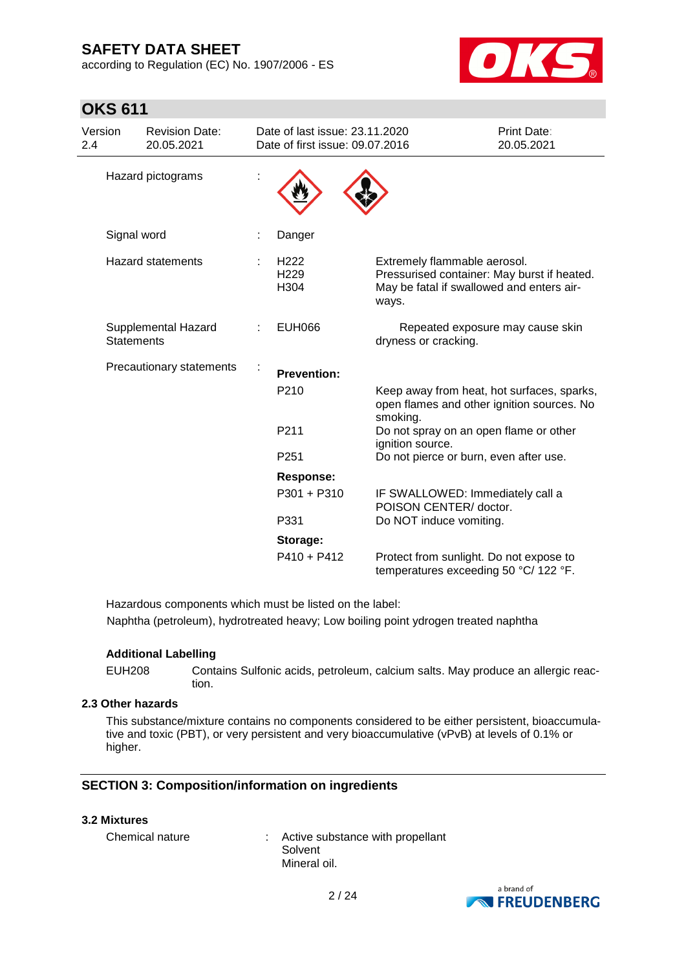according to Regulation (EC) No. 1907/2006 - ES



# **OKS 611**

| Version<br>2.4 |                   | <b>Revision Date:</b><br>20.05.2021 | Date of last issue: 23.11.2020<br>Date of first issue: 09.07.2016 |                                                                                                                                   | Print Date:<br>20.05.2021 |
|----------------|-------------------|-------------------------------------|-------------------------------------------------------------------|-----------------------------------------------------------------------------------------------------------------------------------|---------------------------|
|                |                   | Hazard pictograms                   |                                                                   |                                                                                                                                   |                           |
|                | Signal word       |                                     | Danger                                                            |                                                                                                                                   |                           |
|                |                   | <b>Hazard statements</b>            | H <sub>222</sub><br>H229<br>H304                                  | Extremely flammable aerosol.<br>Pressurised container: May burst if heated.<br>May be fatal if swallowed and enters air-<br>ways. |                           |
|                | <b>Statements</b> | Supplemental Hazard                 | <b>EUH066</b>                                                     | Repeated exposure may cause skin<br>dryness or cracking.                                                                          |                           |
|                |                   | Precautionary statements            | <b>Prevention:</b>                                                |                                                                                                                                   |                           |
|                |                   |                                     | P <sub>210</sub>                                                  | Keep away from heat, hot surfaces, sparks,<br>open flames and other ignition sources. No<br>smoking.                              |                           |
|                |                   |                                     | P211                                                              | Do not spray on an open flame or other<br>ignition source.                                                                        |                           |
|                |                   |                                     | P <sub>251</sub>                                                  | Do not pierce or burn, even after use.                                                                                            |                           |
|                |                   |                                     | Response:                                                         |                                                                                                                                   |                           |
|                |                   |                                     | P301 + P310                                                       | IF SWALLOWED: Immediately call a<br>POISON CENTER/ doctor.                                                                        |                           |
|                |                   |                                     | P331                                                              | Do NOT induce vomiting.                                                                                                           |                           |
|                |                   |                                     | Storage:                                                          |                                                                                                                                   |                           |
|                |                   |                                     | $P410 + P412$                                                     | Protect from sunlight. Do not expose to<br>temperatures exceeding 50 °C/ 122 °F.                                                  |                           |

Hazardous components which must be listed on the label: Naphtha (petroleum), hydrotreated heavy; Low boiling point ydrogen treated naphtha

#### **Additional Labelling**

EUH208 Contains Sulfonic acids, petroleum, calcium salts. May produce an allergic reaction.

### **2.3 Other hazards**

This substance/mixture contains no components considered to be either persistent, bioaccumulative and toxic (PBT), or very persistent and very bioaccumulative (vPvB) at levels of 0.1% or higher.

### **SECTION 3: Composition/information on ingredients**

#### **3.2 Mixtures**

Chemical nature : Active substance with propellant Solvent Mineral oil.

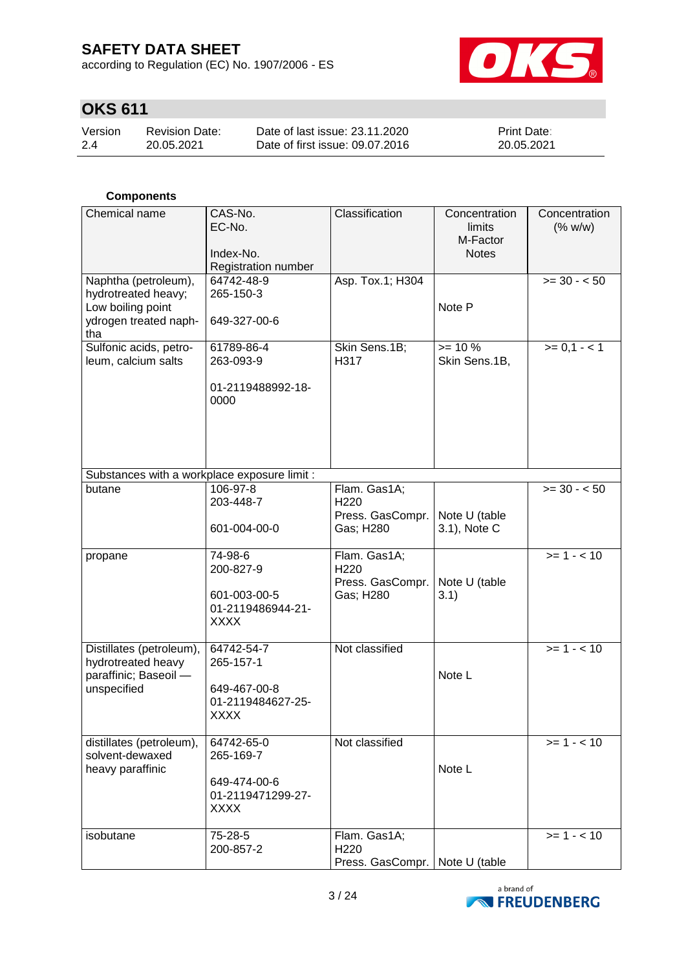according to Regulation (EC) No. 1907/2006 - ES



# **OKS 611**

| Version | Revision Date: | Date of last issue: 23.11.2020  | <b>Print Date:</b> |
|---------|----------------|---------------------------------|--------------------|
| 2.4     | 20.05.2021     | Date of first issue: 09.07.2016 | 20.05.2021         |

### **Components**

| Chemical name                                                                                    | CAS-No.<br>EC-No.<br>Index-No.<br>Registration number                       | Classification                                                       | Concentration<br>limits<br>M-Factor<br><b>Notes</b> | Concentration<br>(% w/w) |
|--------------------------------------------------------------------------------------------------|-----------------------------------------------------------------------------|----------------------------------------------------------------------|-----------------------------------------------------|--------------------------|
| Naphtha (petroleum),<br>hydrotreated heavy;<br>Low boiling point<br>ydrogen treated naph-<br>tha | 64742-48-9<br>265-150-3<br>649-327-00-6                                     | Asp. Tox.1; H304                                                     | Note P                                              | $>= 30 - 50$             |
| Sulfonic acids, petro-<br>leum, calcium salts                                                    | 61789-86-4<br>263-093-9<br>01-2119488992-18-<br>0000                        | Skin Sens.1B;<br>H317                                                | $>= 10 \%$<br>Skin Sens.1B,                         | $>= 0, 1 - 1$            |
| Substances with a workplace exposure limit :                                                     |                                                                             |                                                                      |                                                     |                          |
| butane                                                                                           | 106-97-8<br>203-448-7<br>601-004-00-0                                       | Flam. Gas1A;<br>H220<br>Press. GasCompr.<br>Gas; H280                | Note U (table<br>3.1), Note C                       | $>= 30 - 50$             |
| propane                                                                                          | 74-98-6<br>200-827-9<br>601-003-00-5<br>01-2119486944-21-<br><b>XXXX</b>    | Flam. Gas1A;<br>H220<br>Press. GasCompr.<br>Gas; H280                | Note U (table<br>3.1)                               | $>= 1 - 10$              |
| Distillates (petroleum),<br>hydrotreated heavy<br>paraffinic; Baseoil -<br>unspecified           | 64742-54-7<br>265-157-1<br>649-467-00-8<br>01-2119484627-25-<br><b>XXXX</b> | Not classified                                                       | Note L                                              | $>= 1 - 10$              |
| distillates (petroleum),<br>solvent-dewaxed<br>heavy paraffinic                                  | 64742-65-0<br>265-169-7<br>649-474-00-6<br>01-2119471299-27-<br><b>XXXX</b> | Not classified                                                       | Note L                                              | $>= 1 - 10$              |
| isobutane                                                                                        | 75-28-5<br>200-857-2                                                        | Flam. Gas1A;<br>H <sub>220</sub><br>Press. GasCompr.   Note U (table |                                                     | $>= 1 - 10$              |

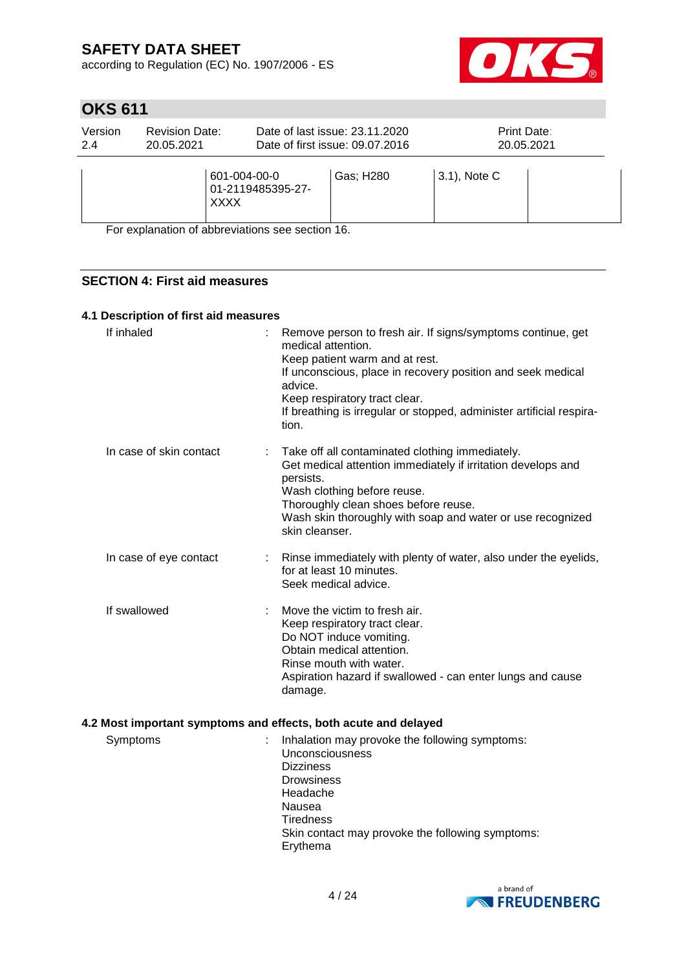according to Regulation (EC) No. 1907/2006 - ES



# **OKS 611**

| Version<br>2.4 | <b>Revision Date:</b><br>20.05.2021 |                   | Date of last issue: 23.11.2020<br>Date of first issue: 09.07.2016 | Print Date:<br>20.05.2021 |  |
|----------------|-------------------------------------|-------------------|-------------------------------------------------------------------|---------------------------|--|
|                | 601-004-00-0<br><b>XXXX</b>         | 01-2119485395-27- | Gas; H280                                                         | $(3.1)$ , Note C          |  |

For explanation of abbreviations see section 16.

### **SECTION 4: First aid measures**

#### **4.1 Description of first aid measures**

| If inhaled              | Remove person to fresh air. If signs/symptoms continue, get<br>medical attention.<br>Keep patient warm and at rest.<br>If unconscious, place in recovery position and seek medical<br>advice.<br>Keep respiratory tract clear.<br>If breathing is irregular or stopped, administer artificial respira-<br>tion. |
|-------------------------|-----------------------------------------------------------------------------------------------------------------------------------------------------------------------------------------------------------------------------------------------------------------------------------------------------------------|
| In case of skin contact | Take off all contaminated clothing immediately.<br>Get medical attention immediately if irritation develops and<br>persists.<br>Wash clothing before reuse.<br>Thoroughly clean shoes before reuse.<br>Wash skin thoroughly with soap and water or use recognized<br>skin cleanser.                             |
| In case of eye contact  | Rinse immediately with plenty of water, also under the eyelids,<br>for at least 10 minutes.<br>Seek medical advice.                                                                                                                                                                                             |
| If swallowed            | Move the victim to fresh air.<br>Keep respiratory tract clear.<br>Do NOT induce vomiting.<br>Obtain medical attention.<br>Rinse mouth with water.<br>Aspiration hazard if swallowed - can enter lungs and cause<br>damage.                                                                                      |

### **4.2 Most important symptoms and effects, both acute and delayed**

| Symptoms | Inhalation may provoke the following symptoms:<br><b>Unconsciousness</b><br><b>Dizziness</b><br><b>Drowsiness</b><br>Headache<br>Nausea<br><b>Tiredness</b><br>Skin contact may provoke the following symptoms: |
|----------|-----------------------------------------------------------------------------------------------------------------------------------------------------------------------------------------------------------------|
|          | Erythema                                                                                                                                                                                                        |

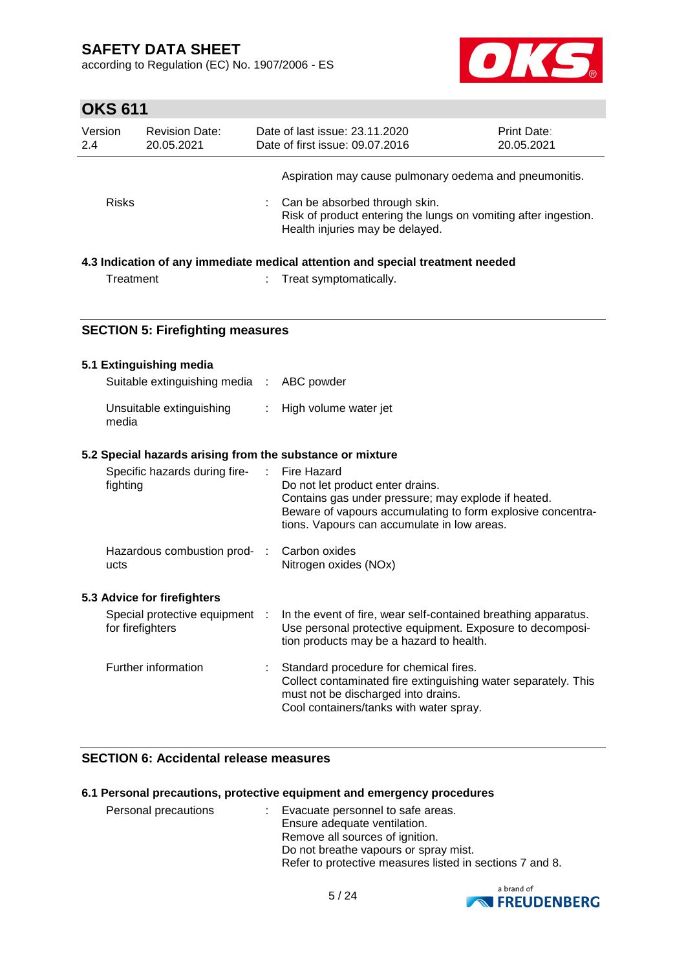according to Regulation (EC) No. 1907/2006 - ES



# **OKS 611**

| Version<br>2.4 | <b>Revision Date:</b><br>20.05.2021 | Date of last issue: 23.11.2020<br>Date of first issue: 09.07.2016                                                                   | <b>Print Date:</b><br>20.05.2021 |
|----------------|-------------------------------------|-------------------------------------------------------------------------------------------------------------------------------------|----------------------------------|
|                |                                     | Aspiration may cause pulmonary oedema and pneumonitis.                                                                              |                                  |
| <b>Risks</b>   |                                     | Can be absorbed through skin.<br>Risk of product entering the lungs on vomiting after ingestion.<br>Health injuries may be delayed. |                                  |

### **4.3 Indication of any immediate medical attention and special treatment needed**

| Treatment | Treat symptomatically. |
|-----------|------------------------|
|           |                        |

### **SECTION 5: Firefighting measures**

| 5.1 Extinguishing media                                   |                            |                                                                                                                                                                                                                      |
|-----------------------------------------------------------|----------------------------|----------------------------------------------------------------------------------------------------------------------------------------------------------------------------------------------------------------------|
| Suitable extinguishing media : ABC powder                 |                            |                                                                                                                                                                                                                      |
| Unsuitable extinguishing<br>media                         | $\mathbb{R}^n$             | High volume water jet                                                                                                                                                                                                |
| 5.2 Special hazards arising from the substance or mixture |                            |                                                                                                                                                                                                                      |
| Specific hazards during fire-<br>fighting                 | $\mathcal{L}^{\text{max}}$ | Fire Hazard<br>Do not let product enter drains.<br>Contains gas under pressure; may explode if heated.<br>Beware of vapours accumulating to form explosive concentra-<br>tions. Vapours can accumulate in low areas. |
| Hazardous combustion prod- :<br>ucts                      |                            | Carbon oxides<br>Nitrogen oxides (NOx)                                                                                                                                                                               |
| 5.3 Advice for firefighters                               |                            |                                                                                                                                                                                                                      |
| Special protective equipment :<br>for firefighters        |                            | In the event of fire, wear self-contained breathing apparatus.<br>Use personal protective equipment. Exposure to decomposi-<br>tion products may be a hazard to health.                                              |
| Further information                                       |                            | Standard procedure for chemical fires.<br>Collect contaminated fire extinguishing water separately. This<br>must not be discharged into drains.<br>Cool containers/tanks with water spray.                           |

### **SECTION 6: Accidental release measures**

#### **6.1 Personal precautions, protective equipment and emergency procedures**

| : Evacuate personnel to safe areas.                      |
|----------------------------------------------------------|
| Ensure adequate ventilation.                             |
| Remove all sources of ignition.                          |
| Do not breathe vapours or spray mist.                    |
| Refer to protective measures listed in sections 7 and 8. |
|                                                          |

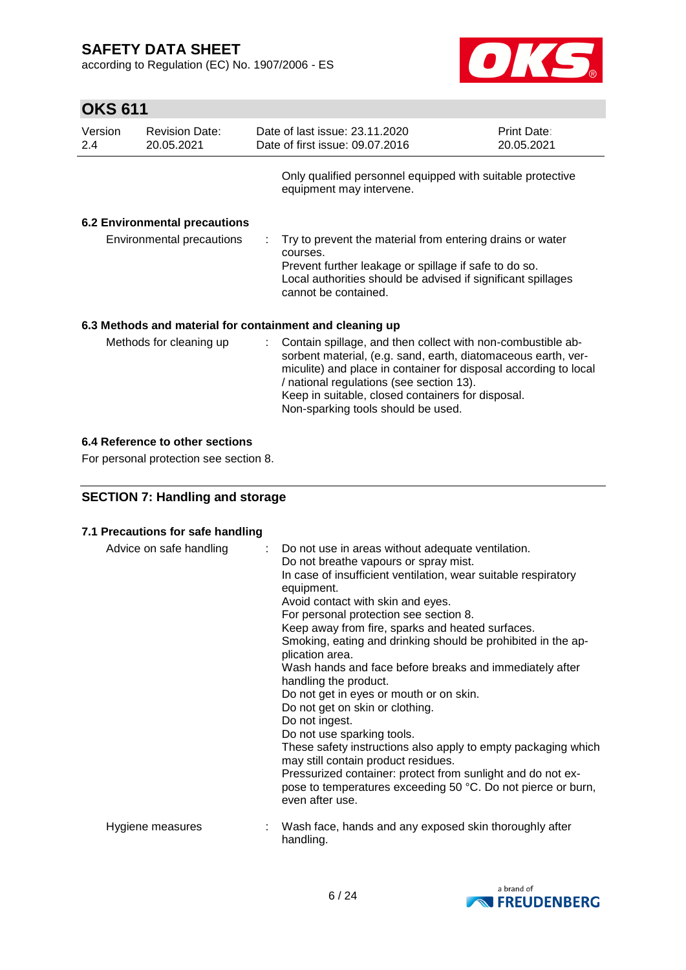according to Regulation (EC) No. 1907/2006 - ES



# **OKS 611**

| Version<br>2.4 | <b>Revision Date:</b><br>20.05.2021  | Date of last issue: 23.11.2020<br>Date of first issue: 09.07.2016                                                                                                                                                                                                                                                                       | Print Date:<br>20.05.2021 |
|----------------|--------------------------------------|-----------------------------------------------------------------------------------------------------------------------------------------------------------------------------------------------------------------------------------------------------------------------------------------------------------------------------------------|---------------------------|
|                |                                      | Only qualified personnel equipped with suitable protective<br>equipment may intervene.                                                                                                                                                                                                                                                  |                           |
|                | <b>6.2 Environmental precautions</b> |                                                                                                                                                                                                                                                                                                                                         |                           |
|                | Environmental precautions            | $\therefore$ Try to prevent the material from entering drains or water<br>courses.<br>Prevent further leakage or spillage if safe to do so.<br>Local authorities should be advised if significant spillages<br>cannot be contained.                                                                                                     |                           |
|                |                                      | 6.3 Methods and material for containment and cleaning up                                                                                                                                                                                                                                                                                |                           |
|                | Methods for cleaning up              | Contain spillage, and then collect with non-combustible ab-<br>sorbent material, (e.g. sand, earth, diatomaceous earth, ver-<br>miculite) and place in container for disposal according to local<br>/ national regulations (see section 13).<br>Keep in suitable, closed containers for disposal.<br>Non-sparking tools should be used. |                           |

### **6.4 Reference to other sections**

For personal protection see section 8.

### **SECTION 7: Handling and storage**

### **7.1 Precautions for safe handling**

| Advice on safe handling | : Do not use in areas without adequate ventilation.<br>Do not breathe vapours or spray mist.<br>In case of insufficient ventilation, wear suitable respiratory<br>equipment.<br>Avoid contact with skin and eyes.<br>For personal protection see section 8.<br>Keep away from fire, sparks and heated surfaces.<br>Smoking, eating and drinking should be prohibited in the ap-<br>plication area.<br>Wash hands and face before breaks and immediately after<br>handling the product.<br>Do not get in eyes or mouth or on skin.<br>Do not get on skin or clothing.<br>Do not ingest.<br>Do not use sparking tools.<br>These safety instructions also apply to empty packaging which<br>may still contain product residues.<br>Pressurized container: protect from sunlight and do not ex-<br>pose to temperatures exceeding 50 °C. Do not pierce or burn,<br>even after use. |
|-------------------------|--------------------------------------------------------------------------------------------------------------------------------------------------------------------------------------------------------------------------------------------------------------------------------------------------------------------------------------------------------------------------------------------------------------------------------------------------------------------------------------------------------------------------------------------------------------------------------------------------------------------------------------------------------------------------------------------------------------------------------------------------------------------------------------------------------------------------------------------------------------------------------|
| Hygiene measures        | Wash face, hands and any exposed skin thoroughly after<br>handling.                                                                                                                                                                                                                                                                                                                                                                                                                                                                                                                                                                                                                                                                                                                                                                                                            |

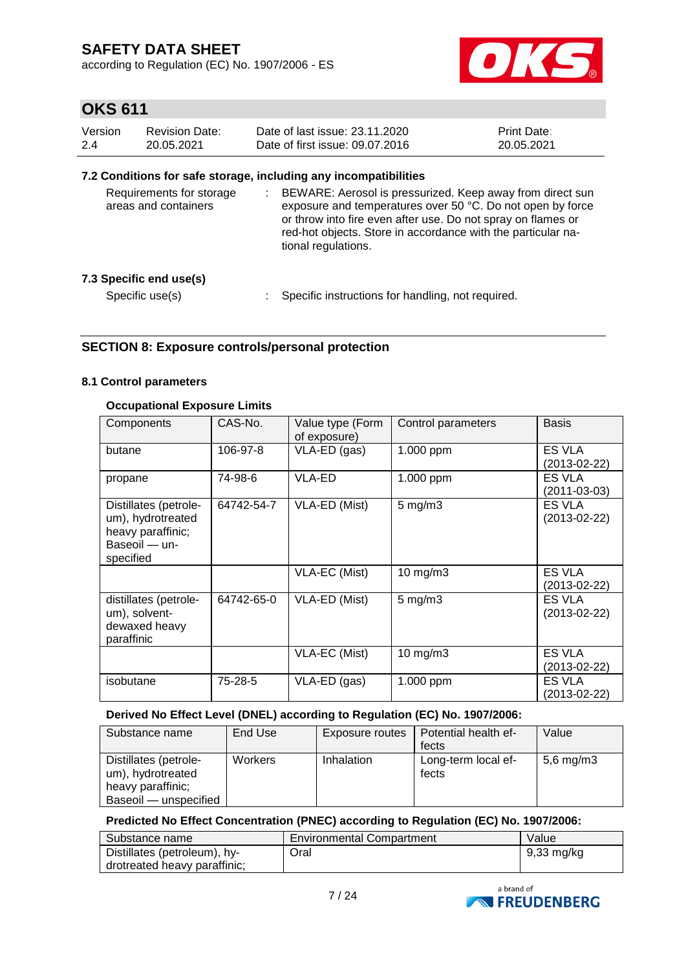according to Regulation (EC) No. 1907/2006 - ES



# **OKS 611**

| Version | Revision Date: | Date of last issue: 23.11.2020  | <b>Print Date:</b> |
|---------|----------------|---------------------------------|--------------------|
| 2.4     | 20.05.2021     | Date of first issue: 09.07.2016 | 20.05.2021         |

### **7.2 Conditions for safe storage, including any incompatibilities**

| Requirements for storage<br>areas and containers | BEWARE: Aerosol is pressurized. Keep away from direct sun<br>exposure and temperatures over 50 °C. Do not open by force<br>or throw into fire even after use. Do not spray on flames or<br>red-hot objects. Store in accordance with the particular na-<br>tional regulations. |
|--------------------------------------------------|--------------------------------------------------------------------------------------------------------------------------------------------------------------------------------------------------------------------------------------------------------------------------------|
| 7.3 Specific end use(s)                          |                                                                                                                                                                                                                                                                                |
| Specific use(s)                                  | Specific instructions for handling, not required.                                                                                                                                                                                                                              |

### **SECTION 8: Exposure controls/personal protection**

#### **8.1 Control parameters**

### **Occupational Exposure Limits**

| Components                                                                                    | CAS-No.    | Value type (Form<br>of exposure) | Control parameters  | <b>Basis</b>                 |
|-----------------------------------------------------------------------------------------------|------------|----------------------------------|---------------------|------------------------------|
| butane                                                                                        | 106-97-8   | VLA-ED (gas)                     | 1.000 ppm           | ES VLA<br>(2013-02-22)       |
| propane                                                                                       | 74-98-6    | VLA-ED                           | 1.000 ppm           | ES VLA<br>(2011-03-03)       |
| Distillates (petrole-<br>um), hydrotreated<br>heavy paraffinic;<br>Baseoil - un-<br>specified | 64742-54-7 | VLA-ED (Mist)                    | $5 \,\mathrm{mg/m}$ | ES VLA<br>$(2013 - 02 - 22)$ |
|                                                                                               |            | VLA-EC (Mist)                    | $10$ mg/m $3$       | ES VLA<br>(2013-02-22)       |
| distillates (petrole-<br>um), solvent-<br>dewaxed heavy<br>paraffinic                         | 64742-65-0 | VLA-ED (Mist)                    | $5 \text{ mg/m}$ 3  | ES VLA<br>$(2013 - 02 - 22)$ |
|                                                                                               |            | VLA-EC (Mist)                    | $10$ mg/m $3$       | ES VLA<br>(2013-02-22)       |
| isobutane                                                                                     | 75-28-5    | VLA-ED (gas)                     | 1.000 ppm           | ES VLA<br>(2013-02-22)       |

### **Derived No Effect Level (DNEL) according to Regulation (EC) No. 1907/2006:**

| Substance name                                                                           | End Use        | Exposure routes | Potential health ef-<br>fects | Value        |
|------------------------------------------------------------------------------------------|----------------|-----------------|-------------------------------|--------------|
| Distillates (petrole-<br>um), hydrotreated<br>heavy paraffinic;<br>Baseoil - unspecified | <b>Workers</b> | Inhalation      | Long-term local ef-<br>fects  | 5,6 mg/m $3$ |

### **Predicted No Effect Concentration (PNEC) according to Regulation (EC) No. 1907/2006:**

| Substance name               | <b>Environmental Compartment</b> | Value                |
|------------------------------|----------------------------------|----------------------|
| Distillates (petroleum), hy- | Oral                             | $9,33 \text{ mg/kg}$ |
| drotreated heavy paraffinic; |                                  |                      |

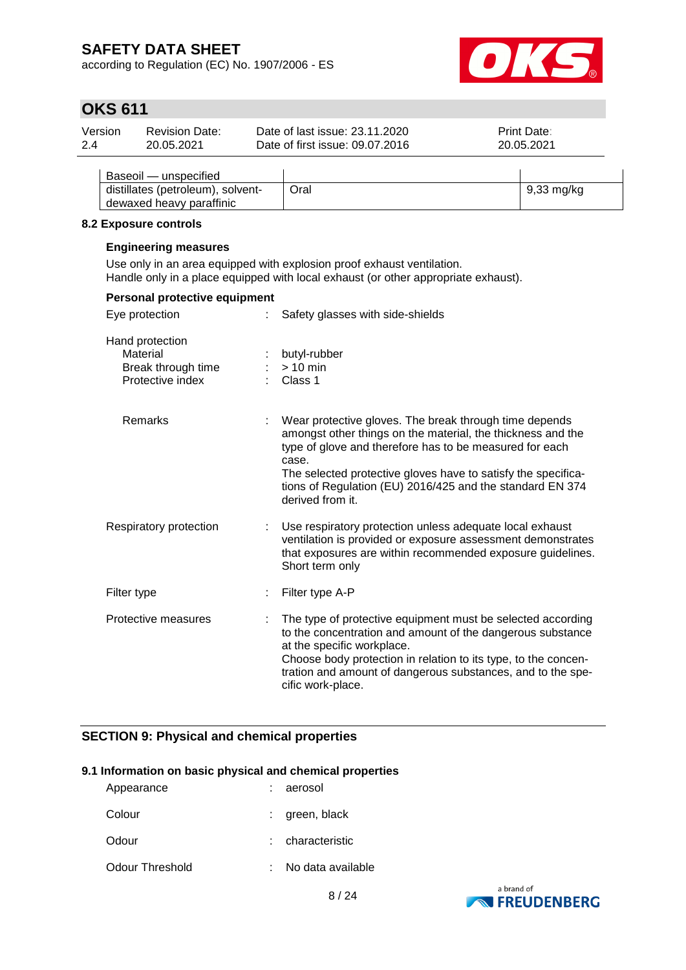according to Regulation (EC) No. 1907/2006 - ES



# **OKS 611**

| Version | <b>Revision Date:</b> | Date of last issue: 23.11.2020  | <b>Print Date:</b> |  |
|---------|-----------------------|---------------------------------|--------------------|--|
| 2.4     | 20.05.2021            | Date of first issue: 09.07.2016 | 20.05.2021         |  |
|         |                       |                                 |                    |  |

| Baseoil — unspecified             |      |              |
|-----------------------------------|------|--------------|
| distillates (petroleum), solvent- | Oral | $9,33$ mg/kg |
| dewaxed heavy paraffinic          |      |              |

#### **8.2 Exposure controls**

#### **Engineering measures**

Use only in an area equipped with explosion proof exhaust ventilation. Handle only in a place equipped with local exhaust (or other appropriate exhaust).

| Personal protective equipment                                         |                                                                                                                                                                                                                                                                                                                                             |
|-----------------------------------------------------------------------|---------------------------------------------------------------------------------------------------------------------------------------------------------------------------------------------------------------------------------------------------------------------------------------------------------------------------------------------|
| Eye protection                                                        | Safety glasses with side-shields                                                                                                                                                                                                                                                                                                            |
| Hand protection<br>Material<br>Break through time<br>Protective index | butyl-rubber<br>$> 10$ min<br>Class 1                                                                                                                                                                                                                                                                                                       |
| Remarks                                                               | Wear protective gloves. The break through time depends<br>amongst other things on the material, the thickness and the<br>type of glove and therefore has to be measured for each<br>case.<br>The selected protective gloves have to satisfy the specifica-<br>tions of Regulation (EU) 2016/425 and the standard EN 374<br>derived from it. |
| Respiratory protection                                                | Use respiratory protection unless adequate local exhaust<br>ventilation is provided or exposure assessment demonstrates<br>that exposures are within recommended exposure guidelines.<br>Short term only                                                                                                                                    |
| Filter type                                                           | Filter type A-P                                                                                                                                                                                                                                                                                                                             |
| Protective measures                                                   | The type of protective equipment must be selected according<br>to the concentration and amount of the dangerous substance<br>at the specific workplace.<br>Choose body protection in relation to its type, to the concen-<br>tration and amount of dangerous substances, and to the spe-<br>cific work-place.                               |

### **SECTION 9: Physical and chemical properties**

#### **9.1 Information on basic physical and chemical properties**

| Appearance      | aerosol           |
|-----------------|-------------------|
| Colour          | green, black      |
| Odour           | characteristic    |
| Odour Threshold | No data available |

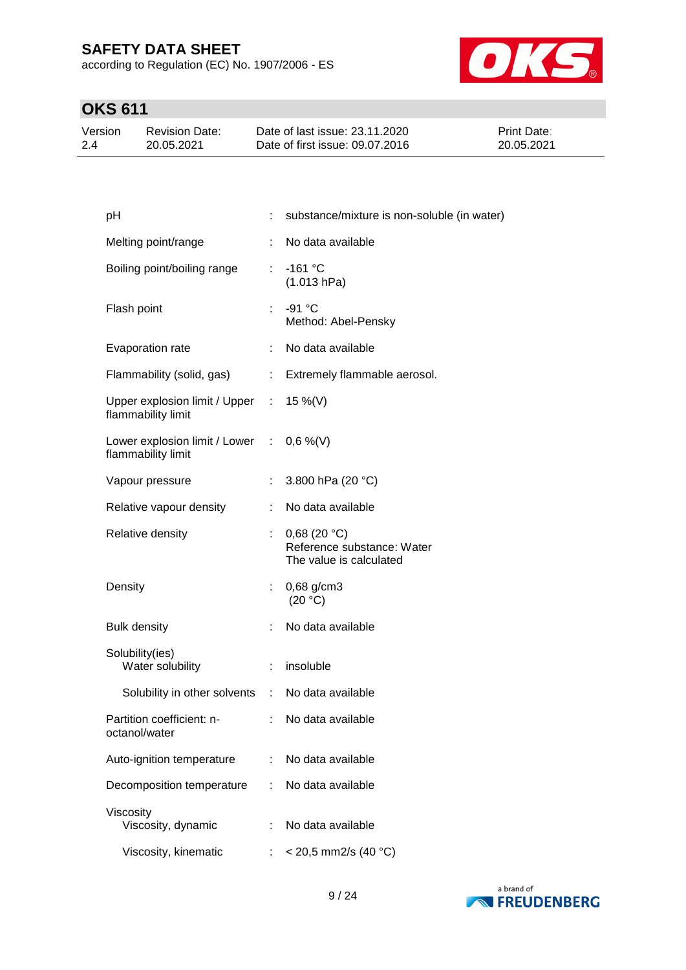according to Regulation (EC) No. 1907/2006 - ES



# **OKS 611**

| Version | <b>Revision Date:</b> | Date of last issue: 23.11.2020  | <b>Print Date:</b> |
|---------|-----------------------|---------------------------------|--------------------|
| 2.4     | 20.05.2021            | Date of first issue: 09.07.2016 | 20.05.2021         |

| pH                                                             |                              | substance/mixture is non-soluble (in water)                          |
|----------------------------------------------------------------|------------------------------|----------------------------------------------------------------------|
| Melting point/range                                            | ÷                            | No data available                                                    |
| Boiling point/boiling range                                    | ÷.                           | $-161 °C$<br>(1.013 hPa)                                             |
| Flash point                                                    | t.                           | $-91 °C$<br>Method: Abel-Pensky                                      |
| Evaporation rate                                               |                              | No data available                                                    |
| Flammability (solid, gas)                                      | $\mathcal{L}_{\mathrm{max}}$ | Extremely flammable aerosol.                                         |
| Upper explosion limit / Upper : 15 %(V)<br>flammability limit  |                              |                                                                      |
| Lower explosion limit / Lower : 0,6 %(V)<br>flammability limit |                              |                                                                      |
| Vapour pressure                                                |                              | 3.800 hPa (20 °C)                                                    |
| Relative vapour density                                        | ÷.                           | No data available                                                    |
| Relative density                                               | t.                           | 0,68(20 °C)<br>Reference substance: Water<br>The value is calculated |
| Density                                                        |                              | 0,68 g/cm3<br>(20 °C)                                                |
| <b>Bulk density</b>                                            |                              | No data available                                                    |
| Solubility(ies)<br>Water solubility                            | ÷.                           | insoluble                                                            |
| Solubility in other solvents                                   |                              | : No data available                                                  |
| Partition coefficient: n-<br>octanol/water                     |                              | No data available                                                    |
| Auto-ignition temperature                                      | ÷                            | No data available                                                    |
| Decomposition temperature                                      |                              | No data available                                                    |
| Viscosity<br>Viscosity, dynamic                                |                              | No data available                                                    |
| Viscosity, kinematic                                           |                              | $<$ 20,5 mm2/s (40 °C)                                               |

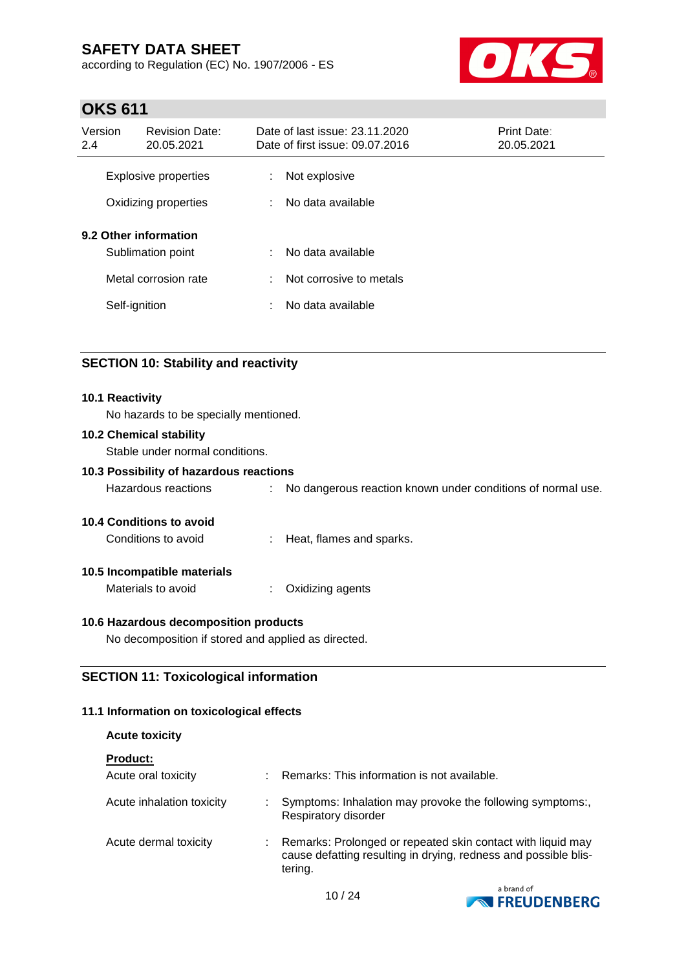according to Regulation (EC) No. 1907/2006 - ES



# **OKS 611**

| Version<br>2.4              | <b>Revision Date:</b><br>20.05.2021                                | Date of last issue: 23.11.2020<br>Print Date:<br>Date of first issue: 09.07.2016<br>20.05.2021 |                                              |  |
|-----------------------------|--------------------------------------------------------------------|------------------------------------------------------------------------------------------------|----------------------------------------------|--|
| <b>Explosive properties</b> |                                                                    | ÷                                                                                              | Not explosive                                |  |
|                             | Oxidizing properties                                               | ÷                                                                                              | No data available                            |  |
|                             | 9.2 Other information<br>Sublimation point<br>Metal corrosion rate | ÷                                                                                              | No data available<br>Not corrosive to metals |  |
| Self-ignition               |                                                                    | ÷<br>÷                                                                                         | No data available                            |  |

### **SECTION 10: Stability and reactivity**

#### **10.1 Reactivity**

No hazards to be specially mentioned.

### **10.2 Chemical stability**

Stable under normal conditions.

### **10.3 Possibility of hazardous reactions**

Hazardous reactions : No dangerous reaction known under conditions of normal use.

#### **10.4 Conditions to avoid**

Conditions to avoid : Heat, flames and sparks.

#### **10.5 Incompatible materials**

Materials to avoid : Oxidizing agents

#### **10.6 Hazardous decomposition products**

No decomposition if stored and applied as directed.

### **SECTION 11: Toxicological information**

### **11.1 Information on toxicological effects**

#### **Acute toxicity**

| <b>Product:</b>           |                                                                                                                                           |
|---------------------------|-------------------------------------------------------------------------------------------------------------------------------------------|
| Acute oral toxicity       | : Remarks: This information is not available.                                                                                             |
| Acute inhalation toxicity | Symptoms: Inhalation may provoke the following symptoms:,<br>Respiratory disorder                                                         |
| Acute dermal toxicity     | Remarks: Prolonged or repeated skin contact with liquid may<br>cause defatting resulting in drying, redness and possible blis-<br>tering. |

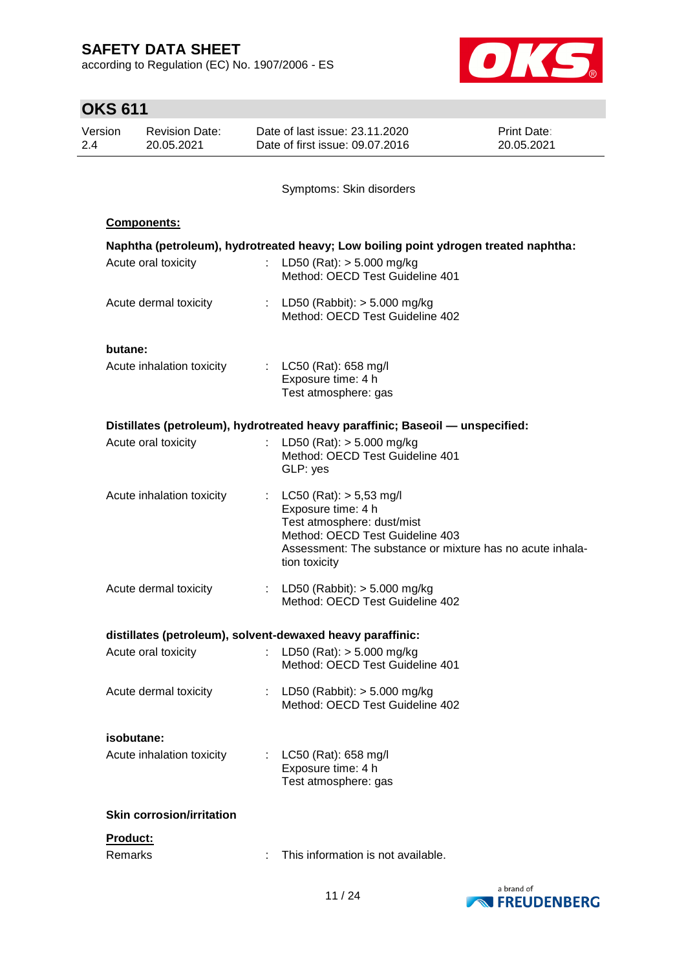according to Regulation (EC) No. 1907/2006 - ES



| <b>OKS 611</b>                                        |                                  |    |                                                                                                                                                                                                  |                           |  |
|-------------------------------------------------------|----------------------------------|----|--------------------------------------------------------------------------------------------------------------------------------------------------------------------------------------------------|---------------------------|--|
| Version<br><b>Revision Date:</b><br>20.05.2021<br>2.4 |                                  |    | Date of last issue: 23.11.2020<br>Date of first issue: 09.07.2016                                                                                                                                | Print Date:<br>20.05.2021 |  |
|                                                       |                                  |    | Symptoms: Skin disorders                                                                                                                                                                         |                           |  |
|                                                       | <b>Components:</b>               |    |                                                                                                                                                                                                  |                           |  |
|                                                       | Acute oral toxicity              |    | Naphtha (petroleum), hydrotreated heavy; Low boiling point ydrogen treated naphtha:<br>: LD50 (Rat): $> 5.000$ mg/kg<br>Method: OECD Test Guideline 401                                          |                           |  |
|                                                       | Acute dermal toxicity            |    | : LD50 (Rabbit): $> 5.000$ mg/kg<br>Method: OECD Test Guideline 402                                                                                                                              |                           |  |
| butane:                                               |                                  |    |                                                                                                                                                                                                  |                           |  |
|                                                       | Acute inhalation toxicity        |    | : $LC50$ (Rat): 658 mg/l<br>Exposure time: 4 h<br>Test atmosphere: gas                                                                                                                           |                           |  |
|                                                       |                                  |    | Distillates (petroleum), hydrotreated heavy paraffinic; Baseoil — unspecified:                                                                                                                   |                           |  |
|                                                       | Acute oral toxicity              | t. | LD50 (Rat): $> 5.000$ mg/kg<br>Method: OECD Test Guideline 401<br>GLP: yes                                                                                                                       |                           |  |
|                                                       | Acute inhalation toxicity        |    | : $LC50 (Rat): > 5,53 mg/l$<br>Exposure time: 4 h<br>Test atmosphere: dust/mist<br>Method: OECD Test Guideline 403<br>Assessment: The substance or mixture has no acute inhala-<br>tion toxicity |                           |  |
|                                                       | Acute dermal toxicity            |    | : LD50 (Rabbit): $>$ 5.000 mg/kg<br>Method: OECD Test Guideline 402                                                                                                                              |                           |  |
|                                                       |                                  |    | distillates (petroleum), solvent-dewaxed heavy paraffinic:                                                                                                                                       |                           |  |
|                                                       | Acute oral toxicity              |    | : LD50 (Rat): $> 5.000$ mg/kg<br>Method: OECD Test Guideline 401                                                                                                                                 |                           |  |
|                                                       | Acute dermal toxicity            |    | : LD50 (Rabbit): $> 5.000$ mg/kg<br>Method: OECD Test Guideline 402                                                                                                                              |                           |  |
|                                                       | isobutane:                       |    |                                                                                                                                                                                                  |                           |  |
|                                                       | Acute inhalation toxicity        |    | : $LC50$ (Rat): 658 mg/l<br>Exposure time: 4 h<br>Test atmosphere: gas                                                                                                                           |                           |  |
|                                                       | <b>Skin corrosion/irritation</b> |    |                                                                                                                                                                                                  |                           |  |
| Product:                                              |                                  |    |                                                                                                                                                                                                  |                           |  |
| Remarks                                               |                                  |    | This information is not available.                                                                                                                                                               |                           |  |

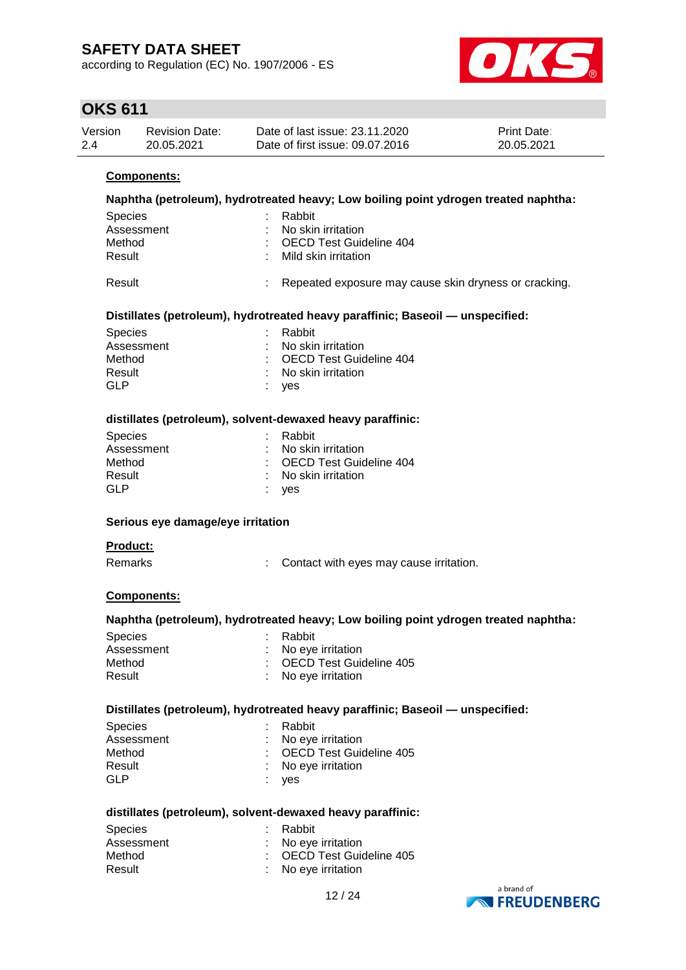according to Regulation (EC) No. 1907/2006 - ES



# **OKS 611**

| Version | Revision Date: | Date of last issue: 23.11.2020  | <b>Print Date:</b> |
|---------|----------------|---------------------------------|--------------------|
| 2.4     | 20.05.2021     | Date of first issue: 09.07.2016 | 20.05.2021         |

### **Components:**

### **Naphtha (petroleum), hydrotreated heavy; Low boiling point ydrogen treated naphtha:** Species : Rabbit Assessment : No skin irritation Method : OECD Test Guideline 404 Result : Mild skin irritation

Result **Result** : Repeated exposure may cause skin dryness or cracking.

#### **Distillates (petroleum), hydrotreated heavy paraffinic; Baseoil — unspecified:**

| : Rabbit                  |
|---------------------------|
| : No skin irritation      |
| : OECD Test Guideline 404 |
| : No skin irritation      |
| : yes                     |
|                           |

#### **distillates (petroleum), solvent-dewaxed heavy paraffinic:**

| : Rabbit                  |
|---------------------------|
| : No skin irritation      |
| : OECD Test Guideline 404 |
| : No skin irritation      |
| : yes                     |
|                           |

### **Serious eye damage/eye irritation**

### **Product:**

Remarks : Contact with eyes may cause irritation.

#### **Components:**

#### **Naphtha (petroleum), hydrotreated heavy; Low boiling point ydrogen treated naphtha:**

| <b>Species</b> | : Rabbit                  |
|----------------|---------------------------|
| Assessment     | : No eye irritation       |
| Method         | : OECD Test Guideline 405 |
| Result         | : No eye irritation       |

#### **Distillates (petroleum), hydrotreated heavy paraffinic; Baseoil — unspecified:**

| <b>Species</b> | : Rabbit                  |
|----------------|---------------------------|
| Assessment     | : No eye irritation       |
| Method         | : OECD Test Guideline 405 |
| Result         | : No eye irritation       |
| GLP            | : yes                     |

#### **distillates (petroleum), solvent-dewaxed heavy paraffinic:**

| <b>Species</b> | : Rabbit                  |
|----------------|---------------------------|
| Assessment     | : No eve irritation       |
| Method         | : OECD Test Guideline 405 |
| Result         | : No eye irritation       |

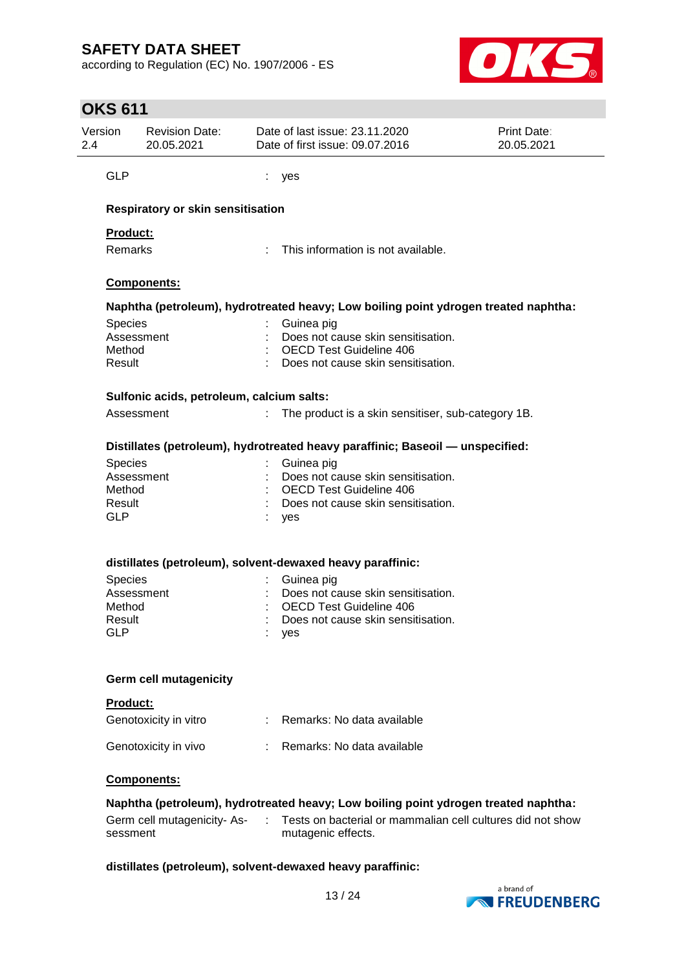according to Regulation (EC) No. 1907/2006 - ES



# **OKS 611**

| Version              | <b>Revision Date:</b><br>20.05.2021                        |            | Date of last issue: 23.11.2020<br>Date of first issue: 09.07.2016                   | Print Date:<br>20.05.2021                                  |
|----------------------|------------------------------------------------------------|------------|-------------------------------------------------------------------------------------|------------------------------------------------------------|
| <b>GLP</b>           |                                                            | ves        |                                                                                     |                                                            |
|                      | Respiratory or skin sensitisation                          |            |                                                                                     |                                                            |
| Product:             |                                                            |            |                                                                                     |                                                            |
| Remarks              |                                                            |            | This information is not available.                                                  |                                                            |
|                      | Components:                                                |            |                                                                                     |                                                            |
|                      |                                                            |            | Naphtha (petroleum), hydrotreated heavy; Low boiling point ydrogen treated naphtha: |                                                            |
| Species              |                                                            | Guinea pig |                                                                                     |                                                            |
|                      | Assessment                                                 |            | Does not cause skin sensitisation.                                                  |                                                            |
| Method               |                                                            |            | <b>OECD Test Guideline 406</b>                                                      |                                                            |
| Result               |                                                            |            | Does not cause skin sensitisation.                                                  |                                                            |
|                      | Sulfonic acids, petroleum, calcium salts:                  |            |                                                                                     |                                                            |
|                      | Assessment                                                 |            | The product is a skin sensitiser, sub-category 1B.                                  |                                                            |
|                      |                                                            |            | Distillates (petroleum), hydrotreated heavy paraffinic; Baseoil - unspecified:      |                                                            |
| Species              |                                                            | Guinea pig |                                                                                     |                                                            |
|                      | Assessment                                                 |            | Does not cause skin sensitisation.                                                  |                                                            |
| Method               |                                                            |            | <b>OECD Test Guideline 406</b>                                                      |                                                            |
| Result<br><b>GLP</b> |                                                            |            | Does not cause skin sensitisation.                                                  |                                                            |
|                      |                                                            | yes        |                                                                                     |                                                            |
|                      | distillates (petroleum), solvent-dewaxed heavy paraffinic: |            |                                                                                     |                                                            |
| Species              |                                                            | Guinea pig |                                                                                     |                                                            |
|                      | Assessment                                                 |            | Does not cause skin sensitisation.                                                  |                                                            |
| Method               |                                                            |            | <b>OECD Test Guideline 406</b>                                                      |                                                            |
| Result<br><b>GLP</b> |                                                            |            | Does not cause skin sensitisation.                                                  |                                                            |
|                      |                                                            | yes        |                                                                                     |                                                            |
|                      | <b>Germ cell mutagenicity</b>                              |            |                                                                                     |                                                            |
| Product:             |                                                            |            |                                                                                     |                                                            |
|                      | Genotoxicity in vitro                                      |            | : Remarks: No data available                                                        |                                                            |
|                      | Genotoxicity in vivo                                       |            | Remarks: No data available                                                          |                                                            |
|                      | Components:                                                |            |                                                                                     |                                                            |
|                      |                                                            |            | Naphtha (petroleum), hydrotreated heavy; Low boiling point ydrogen treated naphtha: |                                                            |
|                      |                                                            |            |                                                                                     | Tests on bacterial or mammalian cell cultures did not show |

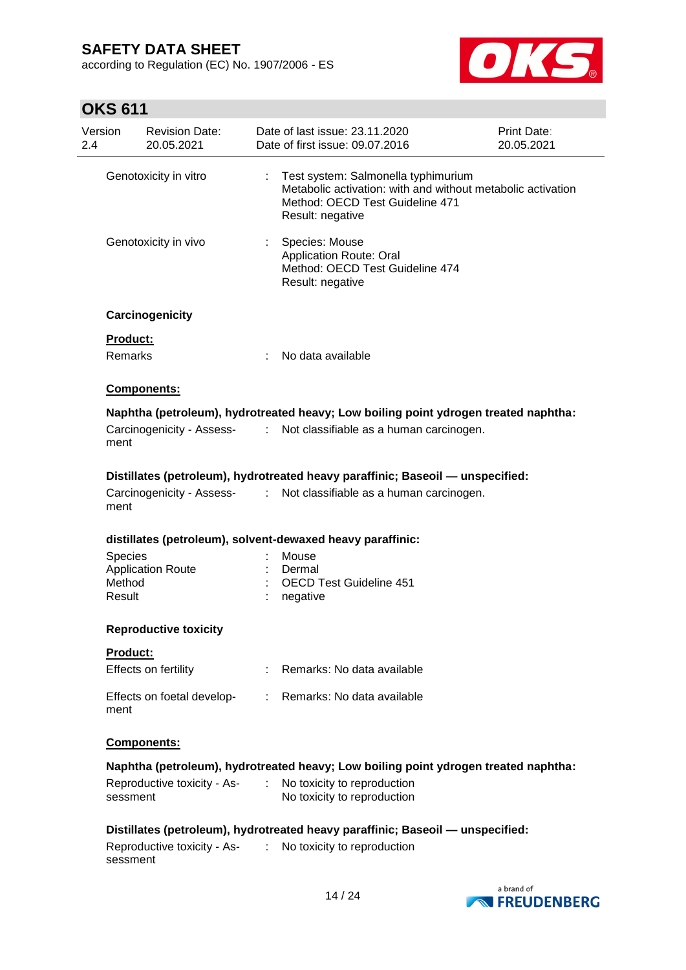according to Regulation (EC) No. 1907/2006 - ES



# **OKS 611**

| Version<br>2.4 | <b>Revision Date:</b><br>20.05.2021     |                              | Date of last issue: 23.11.2020<br>Date of first issue: 09.07.2016                                                                                         | Print Date:<br>20.05.2021 |
|----------------|-----------------------------------------|------------------------------|-----------------------------------------------------------------------------------------------------------------------------------------------------------|---------------------------|
|                | Genotoxicity in vitro                   | ÷.                           | Test system: Salmonella typhimurium<br>Metabolic activation: with and without metabolic activation<br>Method: OECD Test Guideline 471<br>Result: negative |                           |
|                | Genotoxicity in vivo                    |                              | Species: Mouse<br>Application Route: Oral<br>Method: OECD Test Guideline 474<br>Result: negative                                                          |                           |
|                | Carcinogenicity                         |                              |                                                                                                                                                           |                           |
|                | <b>Product:</b><br>Remarks              |                              | No data available                                                                                                                                         |                           |
|                | Components:                             |                              |                                                                                                                                                           |                           |
|                |                                         |                              | Naphtha (petroleum), hydrotreated heavy; Low boiling point ydrogen treated naphtha:                                                                       |                           |
|                | Carcinogenicity - Assess-<br>ment       | $\mathcal{L}_{\mathrm{max}}$ | Not classifiable as a human carcinogen.                                                                                                                   |                           |
|                |                                         |                              | Distillates (petroleum), hydrotreated heavy paraffinic; Baseoil - unspecified:                                                                            |                           |
|                | ment                                    |                              | Carcinogenicity - Assess- : Not classifiable as a human carcinogen.                                                                                       |                           |
|                |                                         |                              | distillates (petroleum), solvent-dewaxed heavy paraffinic:                                                                                                |                           |
|                | <b>Species</b>                          |                              | Mouse                                                                                                                                                     |                           |
|                | <b>Application Route</b>                |                              | Dermal                                                                                                                                                    |                           |
|                | Method<br>Result                        |                              | <b>OECD Test Guideline 451</b><br>negative                                                                                                                |                           |
|                | <b>Reproductive toxicity</b>            |                              |                                                                                                                                                           |                           |
|                | <b>Product:</b>                         |                              |                                                                                                                                                           |                           |
|                | Effects on fertility                    |                              | Remarks: No data available                                                                                                                                |                           |
|                | Effects on foetal develop-<br>ment      |                              | : Remarks: No data available                                                                                                                              |                           |
|                | Components:                             |                              |                                                                                                                                                           |                           |
|                |                                         |                              | Naphtha (petroleum), hydrotreated heavy; Low boiling point ydrogen treated naphtha:                                                                       |                           |
|                | Reproductive toxicity - As-<br>sessment |                              | No toxicity to reproduction<br>No toxicity to reproduction                                                                                                |                           |
|                |                                         |                              | Distillates (petroleum), hydrotreated heavy paraffinic; Baseoil - unspecified:                                                                            |                           |
|                | Reproductive toxicity - As-<br>sessment | ÷                            | No toxicity to reproduction                                                                                                                               |                           |

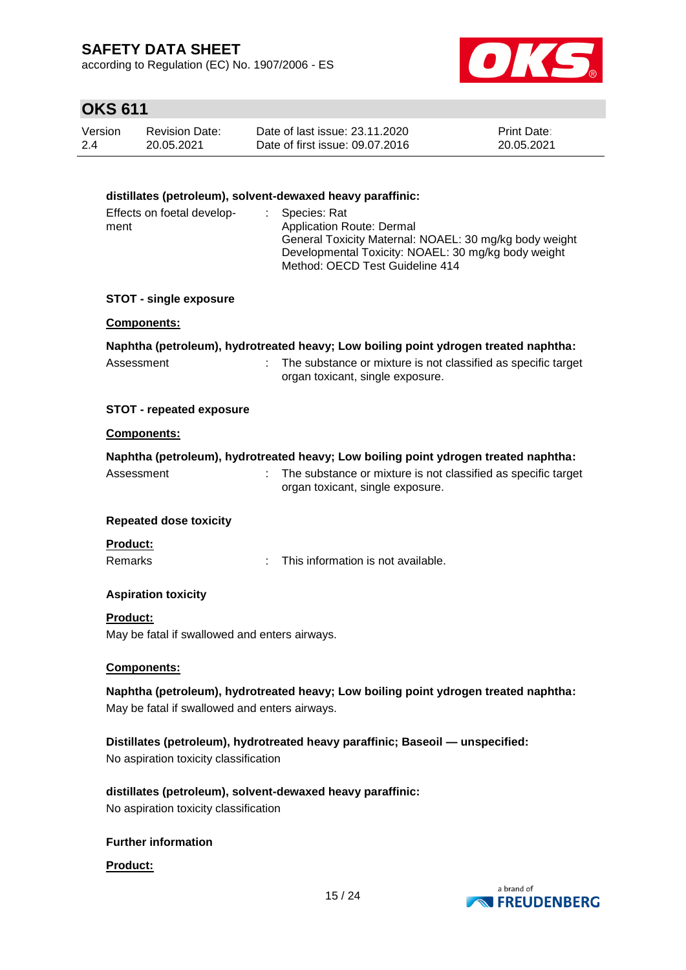according to Regulation (EC) No. 1907/2006 - ES



# **OKS 611**

| Version | <b>Revision Date:</b> | Date of last issue: 23.11.2020  | <b>Print Date:</b> |
|---------|-----------------------|---------------------------------|--------------------|
| 2.4     | 20.05.2021            | Date of first issue: 09.07.2016 | 20.05.2021         |

### **distillates (petroleum), solvent-dewaxed heavy paraffinic:**

| Effects on foetal develop- | : Species: Rat                                         |
|----------------------------|--------------------------------------------------------|
| ment                       | Application Route: Dermal                              |
|                            | General Toxicity Maternal: NOAEL: 30 mg/kg body weight |
|                            | Developmental Toxicity: NOAEL: 30 mg/kg body weight    |
|                            | Method: OECD Test Guideline 414                        |

#### **STOT - single exposure**

#### **Components:**

|            | Naphtha (petroleum), hydrotreated heavy; Low boiling point ydrogen treated naphtha: |
|------------|-------------------------------------------------------------------------------------|
| Assessment | The substance or mixture is not classified as specific target                       |
|            | organ toxicant, single exposure.                                                    |

#### **STOT - repeated exposure**

#### **Components:**

|                               | Naphtha (petroleum), hydrotreated heavy; Low boiling point ydrogen treated naphtha:               |
|-------------------------------|---------------------------------------------------------------------------------------------------|
| Assessment                    | The substance or mixture is not classified as specific target<br>organ toxicant, single exposure. |
| <b>Repeated dose toxicity</b> |                                                                                                   |
| <b>Product:</b>               |                                                                                                   |
| <b>Remarks</b>                | This information is not available.                                                                |

### **Aspiration toxicity**

#### **Product:**

May be fatal if swallowed and enters airways.

#### **Components:**

**Naphtha (petroleum), hydrotreated heavy; Low boiling point ydrogen treated naphtha:** May be fatal if swallowed and enters airways.

**Distillates (petroleum), hydrotreated heavy paraffinic; Baseoil — unspecified:** No aspiration toxicity classification

**distillates (petroleum), solvent-dewaxed heavy paraffinic:** No aspiration toxicity classification

#### **Further information**

#### **Product:**

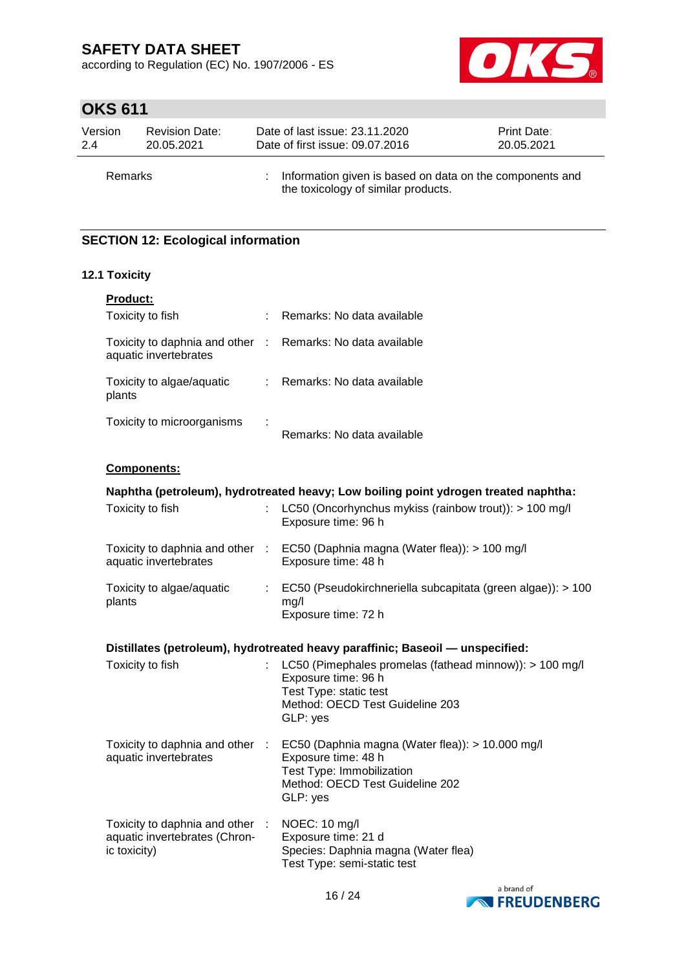according to Regulation (EC) No. 1907/2006 - ES



# **OKS 611**

| Version | <b>Revision Date:</b> | Date of last issue: 23.11.2020                                                                  | <b>Print Date:</b> |
|---------|-----------------------|-------------------------------------------------------------------------------------------------|--------------------|
| 2.4     | 20.05.2021            | Date of first issue: 09.07.2016                                                                 | 20.05.2021         |
| Remarks |                       | Information given is based on data on the components and<br>the toxicology of similar products. |                    |

### **SECTION 12: Ecological information**

### **12.1 Toxicity**

| <b>Product:</b>                                          |   |                            |
|----------------------------------------------------------|---|----------------------------|
| Toxicity to fish                                         | ÷ | Remarks: No data available |
| Toxicity to daphnia and other :<br>aquatic invertebrates |   | Remarks: No data available |
| Toxicity to algae/aquatic<br>plants                      | ÷ | Remarks: No data available |
| Toxicity to microorganisms                               | ÷ | Remarks: No data available |

### **Components:**

| Naphtha (petroleum), hydrotreated heavy; Low boiling point ydrogen treated naphtha: |  |                                                                                                                                                                                     |  |  |  |
|-------------------------------------------------------------------------------------|--|-------------------------------------------------------------------------------------------------------------------------------------------------------------------------------------|--|--|--|
| Toxicity to fish                                                                    |  | LC50 (Oncorhynchus mykiss (rainbow trout)): > 100 mg/l<br>Exposure time: 96 h                                                                                                       |  |  |  |
| aquatic invertebrates                                                               |  | Toxicity to daphnia and other : EC50 (Daphnia magna (Water flea)): > 100 mg/l<br>Exposure time: 48 h                                                                                |  |  |  |
| Toxicity to algae/aquatic<br>plants                                                 |  | : EC50 (Pseudokirchneriella subcapitata (green algae)): > 100<br>mg/l<br>Exposure time: 72 h                                                                                        |  |  |  |
|                                                                                     |  | Distillates (petroleum), hydrotreated heavy paraffinic; Baseoil — unspecified:                                                                                                      |  |  |  |
| Toxicity to fish                                                                    |  | LC50 (Pimephales promelas (fathead minnow)): > 100 mg/l<br>Exposure time: 96 h<br>Test Type: static test<br>Method: OECD Test Guideline 203<br>GLP: yes                             |  |  |  |
| aquatic invertebrates                                                               |  | Toxicity to daphnia and other : EC50 (Daphnia magna (Water flea)): > 10.000 mg/l<br>Exposure time: 48 h<br>Test Type: Immobilization<br>Method: OECD Test Guideline 202<br>GLP: yes |  |  |  |
| Toxicity to daphnia and other :<br>aquatic invertebrates (Chron-<br>ic toxicity)    |  | NOEC: 10 mg/l<br>Exposure time: 21 d<br>Species: Daphnia magna (Water flea)<br>Test Type: semi-static test                                                                          |  |  |  |

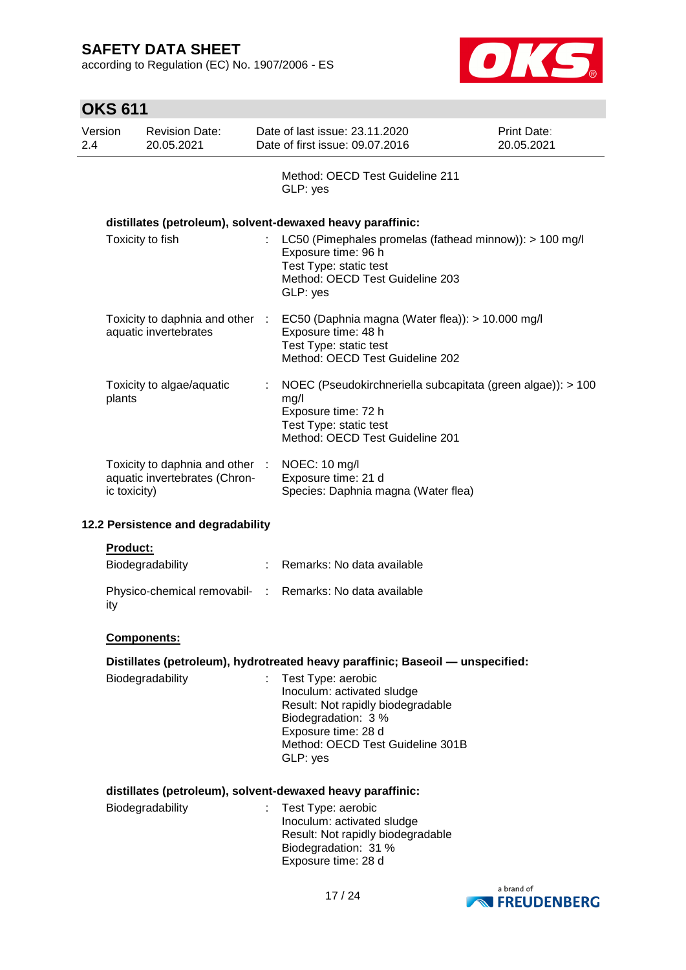according to Regulation (EC) No. 1907/2006 - ES



|                | <b>OKS 611</b> |                                                                  |                                                                                                                                                                                     |                           |
|----------------|----------------|------------------------------------------------------------------|-------------------------------------------------------------------------------------------------------------------------------------------------------------------------------------|---------------------------|
| Version<br>2.4 |                | <b>Revision Date:</b><br>20.05.2021                              | Date of last issue: 23.11.2020<br>Date of first issue: 09.07.2016                                                                                                                   | Print Date:<br>20.05.2021 |
|                |                |                                                                  | Method: OECD Test Guideline 211<br>GLP: yes                                                                                                                                         |                           |
|                |                |                                                                  | distillates (petroleum), solvent-dewaxed heavy paraffinic:                                                                                                                          |                           |
|                |                | Toxicity to fish                                                 | LC50 (Pimephales promelas (fathead minnow)): > 100 mg/l<br>Exposure time: 96 h<br>Test Type: static test<br>Method: OECD Test Guideline 203<br>GLP: yes                             |                           |
|                |                | Toxicity to daphnia and other :<br>aquatic invertebrates         | EC50 (Daphnia magna (Water flea)): > 10.000 mg/l<br>Exposure time: 48 h<br>Test Type: static test<br>Method: OECD Test Guideline 202                                                |                           |
|                | plants         | Toxicity to algae/aquatic                                        | NOEC (Pseudokirchneriella subcapitata (green algae)): > 100<br>mg/l<br>Exposure time: 72 h<br>Test Type: static test<br>Method: OECD Test Guideline 201                             |                           |
|                | ic toxicity)   | Toxicity to daphnia and other :<br>aquatic invertebrates (Chron- | NOEC: 10 mg/l<br>Exposure time: 21 d<br>Species: Daphnia magna (Water flea)                                                                                                         |                           |
|                |                | 12.2 Persistence and degradability                               |                                                                                                                                                                                     |                           |
|                | Product:       |                                                                  |                                                                                                                                                                                     |                           |
|                |                | Biodegradability                                                 | : Remarks: No data available                                                                                                                                                        |                           |
|                | ity            | Physico-chemical removabil- :                                    | Remarks: No data available                                                                                                                                                          |                           |
|                |                | Components:                                                      |                                                                                                                                                                                     |                           |
|                |                |                                                                  | Distillates (petroleum), hydrotreated heavy paraffinic; Baseoil - unspecified:                                                                                                      |                           |
|                |                | Biodegradability                                                 | Test Type: aerobic<br>Inoculum: activated sludge<br>Result: Not rapidly biodegradable<br>Biodegradation: 3 %<br>Exposure time: 28 d<br>Method: OECD Test Guideline 301B<br>GLP: yes |                           |
|                |                |                                                                  | distillates (petroleum), solvent-dewaxed heavy paraffinic:                                                                                                                          |                           |
|                |                | Biodegradability                                                 | Test Type: aerobic<br>Inoculum: activated sludge<br>Result: Not rapidly biodegradable<br>Biodegradation: 31 %<br>Exposure time: 28 d                                                |                           |
|                |                |                                                                  |                                                                                                                                                                                     | a brand of                |

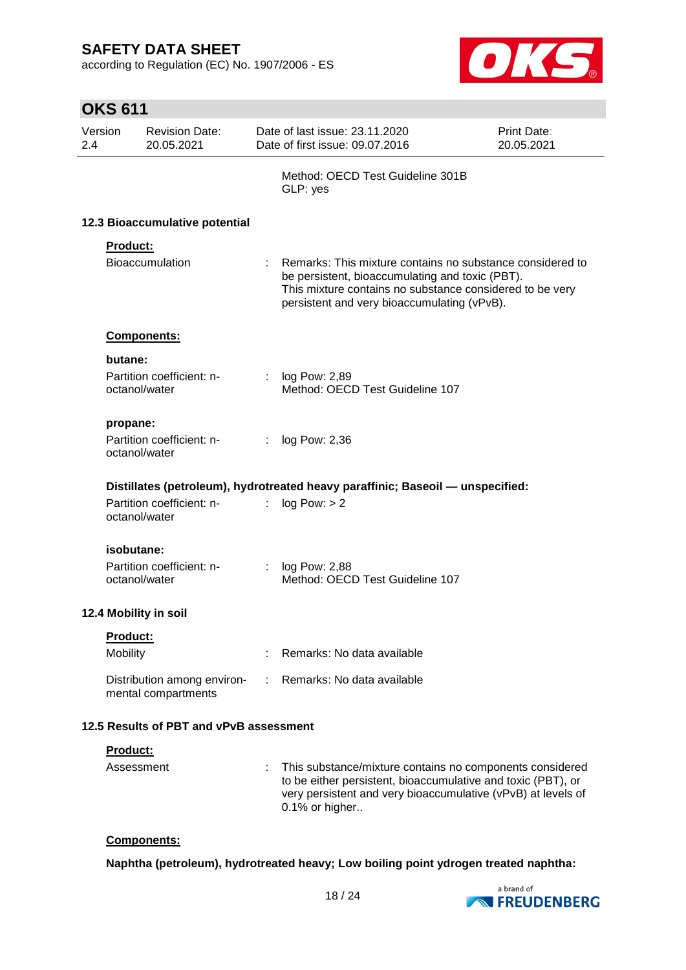according to Regulation (EC) No. 1907/2006 - ES



|                | <b>OKS 611</b>  |                                                    |    |                                                                                                                                                                                                                         |                           |
|----------------|-----------------|----------------------------------------------------|----|-------------------------------------------------------------------------------------------------------------------------------------------------------------------------------------------------------------------------|---------------------------|
| Version<br>2.4 |                 | <b>Revision Date:</b><br>20.05.2021                |    | Date of last issue: 23.11.2020<br>Date of first issue: 09.07.2016                                                                                                                                                       | Print Date:<br>20.05.2021 |
|                |                 |                                                    |    | Method: OECD Test Guideline 301B<br>GLP: yes                                                                                                                                                                            |                           |
|                |                 | 12.3 Bioaccumulative potential                     |    |                                                                                                                                                                                                                         |                           |
|                | <b>Product:</b> |                                                    |    |                                                                                                                                                                                                                         |                           |
|                |                 | Bioaccumulation                                    |    | Remarks: This mixture contains no substance considered to<br>be persistent, bioaccumulating and toxic (PBT).<br>This mixture contains no substance considered to be very<br>persistent and very bioaccumulating (vPvB). |                           |
|                |                 | Components:                                        |    |                                                                                                                                                                                                                         |                           |
|                | butane:         |                                                    |    |                                                                                                                                                                                                                         |                           |
|                |                 | Partition coefficient: n-<br>octanol/water         | t. | log Pow: 2,89<br>Method: OECD Test Guideline 107                                                                                                                                                                        |                           |
|                | propane:        |                                                    |    |                                                                                                                                                                                                                         |                           |
|                |                 | Partition coefficient: n-<br>octanol/water         | ÷. | log Pow: 2,36                                                                                                                                                                                                           |                           |
|                |                 |                                                    |    | Distillates (petroleum), hydrotreated heavy paraffinic; Baseoil - unspecified:                                                                                                                                          |                           |
|                |                 | Partition coefficient: n-<br>octanol/water         | t. | log Pow: > 2                                                                                                                                                                                                            |                           |
|                | isobutane:      |                                                    |    |                                                                                                                                                                                                                         |                           |
|                |                 | Partition coefficient: n-<br>octanol/water         |    | log Pow: 2,88<br>Method: OECD Test Guideline 107                                                                                                                                                                        |                           |
|                |                 | 12.4 Mobility in soil                              |    |                                                                                                                                                                                                                         |                           |
|                | Product:        |                                                    |    |                                                                                                                                                                                                                         |                           |
|                | <b>Mobility</b> |                                                    |    | Remarks: No data available                                                                                                                                                                                              |                           |
|                |                 | Distribution among environ-<br>mental compartments |    | Remarks: No data available                                                                                                                                                                                              |                           |
|                |                 | 12.5 Results of PBT and vPvB assessment            |    |                                                                                                                                                                                                                         |                           |
|                | <u>Product:</u> |                                                    |    |                                                                                                                                                                                                                         |                           |
|                | Assessment      |                                                    |    | This substance/mixture contains no components considered<br>to be either persistent, bioaccumulative and toxic (PBT), or<br>very persistent and very bioaccumulative (vPvB) at levels of<br>0.1% or higher              |                           |

### **Components:**

**Naphtha (petroleum), hydrotreated heavy; Low boiling point ydrogen treated naphtha:**

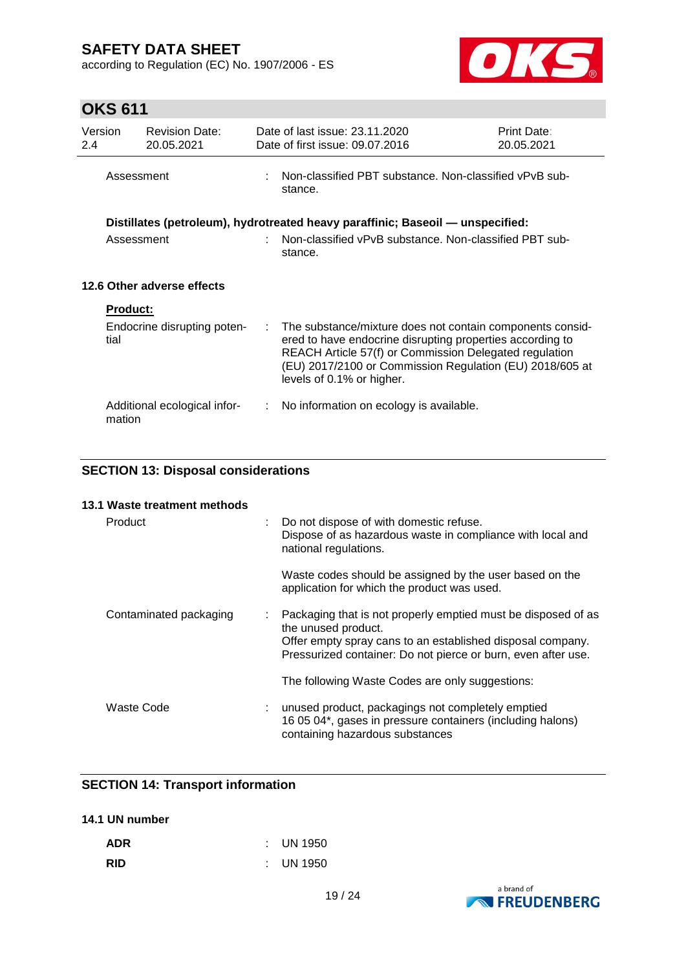according to Regulation (EC) No. 1907/2006 - ES



# **OKS 611**

| Version<br>2.4 |                 | <b>Revision Date:</b><br>20.05.2021 |    | Date of last issue: 23.11.2020<br>Date of first issue: 09.07.2016                                                                                                                                                                                                         | Print Date:<br>20.05.2021 |
|----------------|-----------------|-------------------------------------|----|---------------------------------------------------------------------------------------------------------------------------------------------------------------------------------------------------------------------------------------------------------------------------|---------------------------|
|                | Assessment      |                                     |    | Non-classified PBT substance. Non-classified vPvB sub-<br>stance.                                                                                                                                                                                                         |                           |
|                |                 |                                     |    | Distillates (petroleum), hydrotreated heavy paraffinic; Baseoil — unspecified:                                                                                                                                                                                            |                           |
|                | Assessment      |                                     |    | Non-classified vPvB substance. Non-classified PBT sub-<br>stance.                                                                                                                                                                                                         |                           |
|                |                 | 12.6 Other adverse effects          |    |                                                                                                                                                                                                                                                                           |                           |
|                | <b>Product:</b> |                                     |    |                                                                                                                                                                                                                                                                           |                           |
|                | tial            | Endocrine disrupting poten-         | ÷. | The substance/mixture does not contain components consid-<br>ered to have endocrine disrupting properties according to<br>REACH Article 57(f) or Commission Delegated regulation<br>(EU) 2017/2100 or Commission Regulation (EU) 2018/605 at<br>levels of 0.1% or higher. |                           |
|                | mation          | Additional ecological infor-        | ÷. | No information on ecology is available.                                                                                                                                                                                                                                   |                           |

### **SECTION 13: Disposal considerations**

#### **13.1 Waste treatment methods**

| Product                | : Do not dispose of with domestic refuse.<br>Dispose of as hazardous waste in compliance with local and<br>national regulations.                                                                                      |
|------------------------|-----------------------------------------------------------------------------------------------------------------------------------------------------------------------------------------------------------------------|
|                        | Waste codes should be assigned by the user based on the<br>application for which the product was used.                                                                                                                |
| Contaminated packaging | : Packaging that is not properly emptied must be disposed of as<br>the unused product.<br>Offer empty spray cans to an established disposal company.<br>Pressurized container: Do not pierce or burn, even after use. |
|                        | The following Waste Codes are only suggestions:                                                                                                                                                                       |
| Waste Code             | : unused product, packagings not completely emptied<br>16 05 04*, gases in pressure containers (including halons)<br>containing hazardous substances                                                                  |

### **SECTION 14: Transport information**

### **14.1 UN number**

| <b>ADR</b> | $\therefore$ UN 1950 |
|------------|----------------------|
| <b>RID</b> | $\therefore$ UN 1950 |

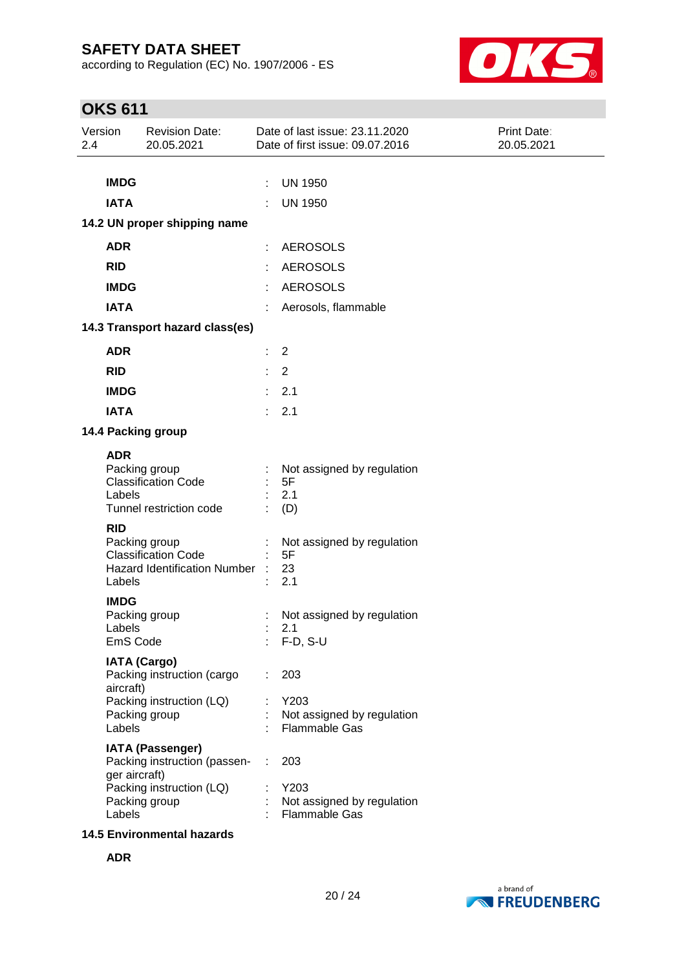according to Regulation (EC) No. 1907/2006 - ES



# **OKS 611**

| Version<br>2.4                                                                               | <b>Revision Date:</b><br>20.05.2021                                                                                                                                                                                                                                                                                                                                                                 | Date of last issue: 23.11.2020<br>Date of first issue: 09.07.2016                                                                                                                                                                      | Print Date:<br>20.05.2021 |
|----------------------------------------------------------------------------------------------|-----------------------------------------------------------------------------------------------------------------------------------------------------------------------------------------------------------------------------------------------------------------------------------------------------------------------------------------------------------------------------------------------------|----------------------------------------------------------------------------------------------------------------------------------------------------------------------------------------------------------------------------------------|---------------------------|
|                                                                                              |                                                                                                                                                                                                                                                                                                                                                                                                     |                                                                                                                                                                                                                                        |                           |
| <b>IMDG</b>                                                                                  |                                                                                                                                                                                                                                                                                                                                                                                                     | <b>UN 1950</b><br>÷                                                                                                                                                                                                                    |                           |
| <b>IATA</b>                                                                                  |                                                                                                                                                                                                                                                                                                                                                                                                     | <b>UN 1950</b>                                                                                                                                                                                                                         |                           |
|                                                                                              | 14.2 UN proper shipping name                                                                                                                                                                                                                                                                                                                                                                        |                                                                                                                                                                                                                                        |                           |
| <b>ADR</b>                                                                                   |                                                                                                                                                                                                                                                                                                                                                                                                     | <b>AEROSOLS</b>                                                                                                                                                                                                                        |                           |
| <b>RID</b>                                                                                   |                                                                                                                                                                                                                                                                                                                                                                                                     | <b>AEROSOLS</b>                                                                                                                                                                                                                        |                           |
| <b>IMDG</b>                                                                                  |                                                                                                                                                                                                                                                                                                                                                                                                     | <b>AEROSOLS</b>                                                                                                                                                                                                                        |                           |
| <b>IATA</b>                                                                                  |                                                                                                                                                                                                                                                                                                                                                                                                     | Aerosols, flammable                                                                                                                                                                                                                    |                           |
|                                                                                              | 14.3 Transport hazard class(es)                                                                                                                                                                                                                                                                                                                                                                     |                                                                                                                                                                                                                                        |                           |
| <b>ADR</b>                                                                                   |                                                                                                                                                                                                                                                                                                                                                                                                     | 2<br>t                                                                                                                                                                                                                                 |                           |
| <b>RID</b>                                                                                   |                                                                                                                                                                                                                                                                                                                                                                                                     | $\overline{2}$                                                                                                                                                                                                                         |                           |
| <b>IMDG</b>                                                                                  |                                                                                                                                                                                                                                                                                                                                                                                                     | 2.1                                                                                                                                                                                                                                    |                           |
| <b>IATA</b>                                                                                  |                                                                                                                                                                                                                                                                                                                                                                                                     | 2.1                                                                                                                                                                                                                                    |                           |
|                                                                                              | 14.4 Packing group                                                                                                                                                                                                                                                                                                                                                                                  |                                                                                                                                                                                                                                        |                           |
| <b>ADR</b><br>Labels<br><b>RID</b><br>Labels<br><b>IMDG</b><br>Labels<br>aircraft)<br>Labels | Packing group<br><b>Classification Code</b><br>Tunnel restriction code<br>Packing group<br><b>Classification Code</b><br><b>Hazard Identification Number</b><br>Packing group<br>EmS Code<br><b>IATA (Cargo)</b><br>Packing instruction (cargo<br>Packing instruction (LQ)<br>Packing group<br><b>IATA (Passenger)</b><br>Packing instruction (passen-<br>ger aircraft)<br>Packing instruction (LQ) | Not assigned by regulation<br>5F<br>2.1<br>(D)<br>Not assigned by regulation<br>5F<br>23<br>2.1<br>Not assigned by regulation<br>2.1<br>$F-D, S-U$<br>203<br>Y203<br>Not assigned by regulation<br><b>Flammable Gas</b><br>203<br>Y203 |                           |
| Labels                                                                                       | Packing group<br><b>14.5 Environmental hazards</b>                                                                                                                                                                                                                                                                                                                                                  | Not assigned by regulation<br><b>Flammable Gas</b>                                                                                                                                                                                     |                           |

**ADR**

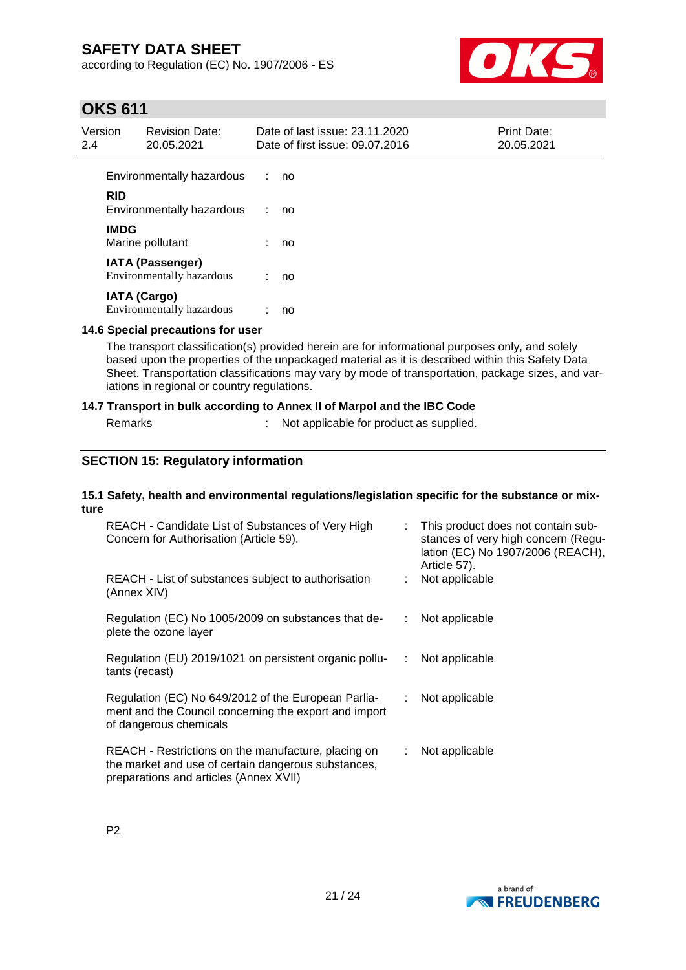according to Regulation (EC) No. 1907/2006 - ES



# **OKS 611**

| Version<br>2.4 |             | <b>Revision Date:</b><br>20.05.2021                         |    | Date of last issue: 23.11.2020<br>Date of first issue: 09.07.2016 | Print Date:<br>20.05.2021 |
|----------------|-------------|-------------------------------------------------------------|----|-------------------------------------------------------------------|---------------------------|
|                |             | Environmentally hazardous                                   | ÷. | no                                                                |                           |
|                | <b>RID</b>  | Environmentally hazardous                                   |    | no                                                                |                           |
|                | <b>IMDG</b> | Marine pollutant                                            |    | no                                                                |                           |
|                |             | <b>IATA (Passenger)</b><br><b>Environmentally hazardous</b> | ÷. | no                                                                |                           |
|                |             | <b>IATA (Cargo)</b><br><b>Environmentally hazardous</b>     |    | no                                                                |                           |

#### **14.6 Special precautions for user**

The transport classification(s) provided herein are for informational purposes only, and solely based upon the properties of the unpackaged material as it is described within this Safety Data Sheet. Transportation classifications may vary by mode of transportation, package sizes, and variations in regional or country regulations.

#### **14.7 Transport in bulk according to Annex II of Marpol and the IBC Code**

| Remarks |
|---------|
|---------|

: Not applicable for product as supplied.

### **SECTION 15: Regulatory information**

#### **15.1 Safety, health and environmental regulations/legislation specific for the substance or mixture**

| REACH - Candidate List of Substances of Very High<br>Concern for Authorisation (Article 59).                                                         | ÷. | This product does not contain sub-<br>stances of very high concern (Regu-<br>lation (EC) No 1907/2006 (REACH),<br>Article 57). |
|------------------------------------------------------------------------------------------------------------------------------------------------------|----|--------------------------------------------------------------------------------------------------------------------------------|
| REACH - List of substances subject to authorisation<br>(Annex XIV)                                                                                   |    | Not applicable                                                                                                                 |
| Regulation (EC) No 1005/2009 on substances that de-<br>plete the ozone layer                                                                         | ÷. | Not applicable                                                                                                                 |
| Regulation (EU) 2019/1021 on persistent organic pollu-<br>tants (recast)                                                                             | ÷  | Not applicable                                                                                                                 |
| Regulation (EC) No 649/2012 of the European Parlia-<br>ment and the Council concerning the export and import<br>of dangerous chemicals               | ÷. | Not applicable                                                                                                                 |
| REACH - Restrictions on the manufacture, placing on<br>the market and use of certain dangerous substances,<br>preparations and articles (Annex XVII) | ÷. | Not applicable                                                                                                                 |

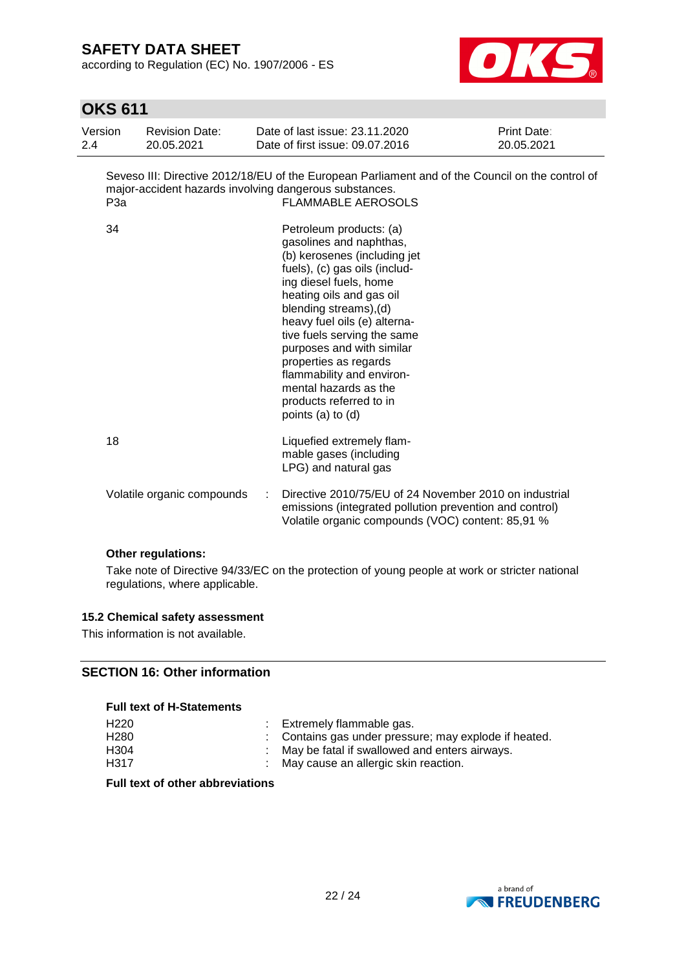according to Regulation (EC) No. 1907/2006 - ES



# **OKS 611**

| Version<br>2.4 | <b>Revision Date:</b><br>20.05.2021                           |   | Date of last issue: 23.11.2020<br>Date of first issue: 09.07.2016                                                                                                                                                                                                                                                                                                                                                              | Print Date:<br>20.05.2021 |
|----------------|---------------------------------------------------------------|---|--------------------------------------------------------------------------------------------------------------------------------------------------------------------------------------------------------------------------------------------------------------------------------------------------------------------------------------------------------------------------------------------------------------------------------|---------------------------|
|                | major-accident hazards involving dangerous substances.<br>P3a |   | Seveso III: Directive 2012/18/EU of the European Parliament and of the Council on the control of<br><b>FLAMMABLE AEROSOLS</b>                                                                                                                                                                                                                                                                                                  |                           |
| 34             |                                                               |   | Petroleum products: (a)<br>gasolines and naphthas,<br>(b) kerosenes (including jet<br>fuels), (c) gas oils (includ-<br>ing diesel fuels, home<br>heating oils and gas oil<br>blending streams), (d)<br>heavy fuel oils (e) alterna-<br>tive fuels serving the same<br>purposes and with similar<br>properties as regards<br>flammability and environ-<br>mental hazards as the<br>products referred to in<br>points (a) to (d) |                           |
| 18             |                                                               |   | Liquefied extremely flam-<br>mable gases (including<br>LPG) and natural gas                                                                                                                                                                                                                                                                                                                                                    |                           |
|                | Volatile organic compounds                                    | ÷ | Directive 2010/75/EU of 24 November 2010 on industrial<br>emissions (integrated pollution prevention and control)<br>Volatile organic compounds (VOC) content: 85,91 %                                                                                                                                                                                                                                                         |                           |

### **Other regulations:**

Take note of Directive 94/33/EC on the protection of young people at work or stricter national regulations, where applicable.

### **15.2 Chemical safety assessment**

This information is not available.

### **SECTION 16: Other information**

#### **Full text of H-Statements**

| H <sub>220</sub> | Extremely flammable gas.                              |
|------------------|-------------------------------------------------------|
| H <sub>280</sub> | : Contains gas under pressure; may explode if heated. |
| H <sub>304</sub> | May be fatal if swallowed and enters airways.         |
| H <sub>317</sub> | : May cause an allergic skin reaction.                |

**Full text of other abbreviations**

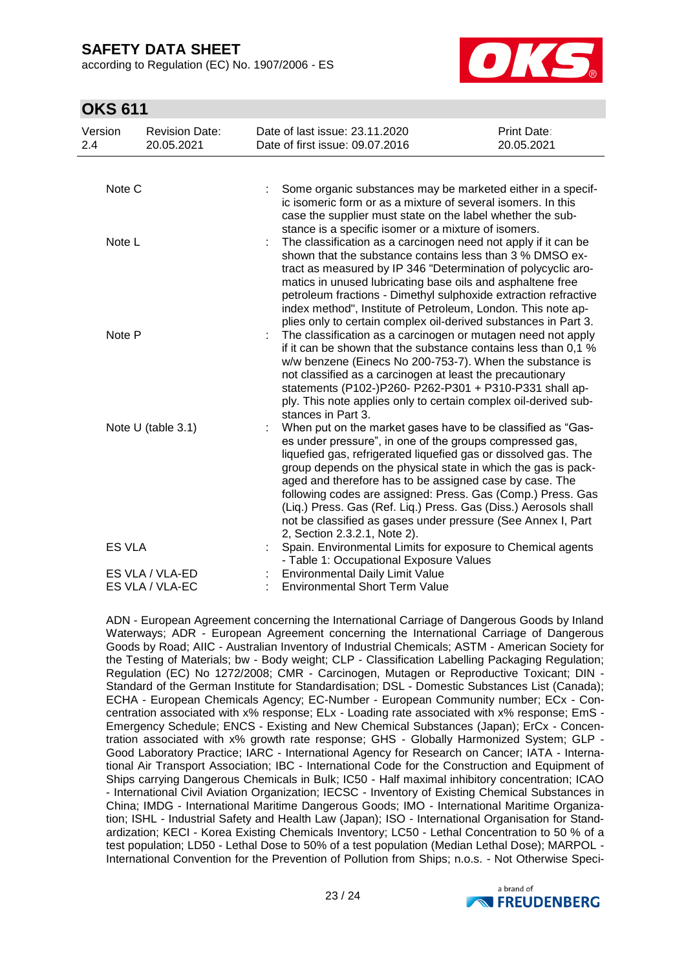according to Regulation (EC) No. 1907/2006 - ES



# **OKS 611**

| Version<br>2.4 | <b>Revision Date:</b><br>20.05.2021 | Date of last issue: 23.11.2020<br>Date of first issue: 09.07.2016        | Print Date:<br>20.05.2021                                                                                                                                                                                                                                                                                                                                                                                                                                                                                                |  |
|----------------|-------------------------------------|--------------------------------------------------------------------------|--------------------------------------------------------------------------------------------------------------------------------------------------------------------------------------------------------------------------------------------------------------------------------------------------------------------------------------------------------------------------------------------------------------------------------------------------------------------------------------------------------------------------|--|
| Note C         |                                     |                                                                          | Some organic substances may be marketed either in a specif-<br>ic isomeric form or as a mixture of several isomers. In this<br>case the supplier must state on the label whether the sub-                                                                                                                                                                                                                                                                                                                                |  |
| Note L         |                                     |                                                                          | stance is a specific isomer or a mixture of isomers.<br>The classification as a carcinogen need not apply if it can be<br>shown that the substance contains less than 3 % DMSO ex-<br>tract as measured by IP 346 "Determination of polycyclic aro-<br>matics in unused lubricating base oils and asphaltene free<br>petroleum fractions - Dimethyl sulphoxide extraction refractive<br>index method", Institute of Petroleum, London. This note ap-<br>plies only to certain complex oil-derived substances in Part 3.  |  |
| Note P         |                                     | stances in Part 3.                                                       | The classification as a carcinogen or mutagen need not apply<br>if it can be shown that the substance contains less than 0,1 %<br>w/w benzene (Einecs No 200-753-7). When the substance is<br>not classified as a carcinogen at least the precautionary<br>statements (P102-)P260- P262-P301 + P310-P331 shall ap-<br>ply. This note applies only to certain complex oil-derived sub-                                                                                                                                    |  |
|                | Note U (table 3.1)                  | 2, Section 2.3.2.1, Note 2).                                             | When put on the market gases have to be classified as "Gas-<br>es under pressure", in one of the groups compressed gas,<br>liquefied gas, refrigerated liquefied gas or dissolved gas. The<br>group depends on the physical state in which the gas is pack-<br>aged and therefore has to be assigned case by case. The<br>following codes are assigned: Press. Gas (Comp.) Press. Gas<br>(Liq.) Press. Gas (Ref. Liq.) Press. Gas (Diss.) Aerosols shall<br>not be classified as gases under pressure (See Annex I, Part |  |
| <b>ES VLA</b>  |                                     |                                                                          | Spain. Environmental Limits for exposure to Chemical agents<br>- Table 1: Occupational Exposure Values                                                                                                                                                                                                                                                                                                                                                                                                                   |  |
|                | ES VLA / VLA-ED<br>ES VLA / VLA-EC  | Environmental Daily Limit Value<br><b>Environmental Short Term Value</b> |                                                                                                                                                                                                                                                                                                                                                                                                                                                                                                                          |  |

ADN - European Agreement concerning the International Carriage of Dangerous Goods by Inland Waterways; ADR - European Agreement concerning the International Carriage of Dangerous Goods by Road; AIIC - Australian Inventory of Industrial Chemicals; ASTM - American Society for the Testing of Materials; bw - Body weight; CLP - Classification Labelling Packaging Regulation; Regulation (EC) No 1272/2008; CMR - Carcinogen, Mutagen or Reproductive Toxicant; DIN - Standard of the German Institute for Standardisation; DSL - Domestic Substances List (Canada); ECHA - European Chemicals Agency; EC-Number - European Community number; ECx - Concentration associated with x% response; ELx - Loading rate associated with x% response; EmS - Emergency Schedule; ENCS - Existing and New Chemical Substances (Japan); ErCx - Concentration associated with x% growth rate response; GHS - Globally Harmonized System; GLP - Good Laboratory Practice; IARC - International Agency for Research on Cancer; IATA - International Air Transport Association; IBC - International Code for the Construction and Equipment of Ships carrying Dangerous Chemicals in Bulk; IC50 - Half maximal inhibitory concentration; ICAO - International Civil Aviation Organization; IECSC - Inventory of Existing Chemical Substances in China; IMDG - International Maritime Dangerous Goods; IMO - International Maritime Organization; ISHL - Industrial Safety and Health Law (Japan); ISO - International Organisation for Standardization; KECI - Korea Existing Chemicals Inventory; LC50 - Lethal Concentration to 50 % of a test population; LD50 - Lethal Dose to 50% of a test population (Median Lethal Dose); MARPOL - International Convention for the Prevention of Pollution from Ships; n.o.s. - Not Otherwise Speci-